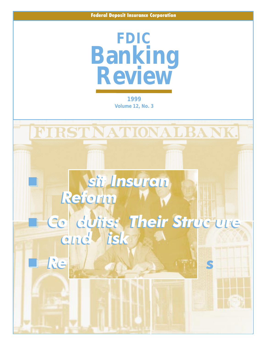# **FDIC Banking<br>Review**

1999 **Volume 12, No. 3** 

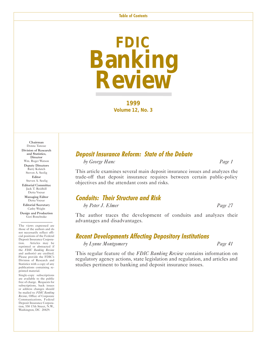

**1999 Volume 12, No. 3** 

## **[Deposit Insurance Reform: State of the Debate](#page-2-0)**

 $S_{\text{steven A. Seelig}}$  This article examines several main deposit insurance issues and analyzes the Editor trade-off that deposit insurance requires between certain public-policy Steven A. Seelig Editorial Committee objectives and the attendant costs and risks.

#### **[Conduits: Their Structure and Risk](#page-28-0)**

Editorial Secretary *by Peter J. Elmer Page 27 Page 27* 

The author traces the development of conduits and analyzes their advantages and disadvantages.

#### **[Recent Developments Affecting Depository Institutions](#page-42-0)**

by Lynne Montgomery *Page 41* 

This regular feature of the *FDIC Banking Review* contains information on regulatory agency actions, state legislation and regulation, and articles and studies pertinent to banking and deposit insurance issues.

Donna Tanoue Division of Research and Statistics, Wm. Roger Watson *by George Hanc Page 1 Page 1* Barry Kolatch Jack T. Reidhill Detta Voesar Managing Editor

Chairman

Design and Production<br>Geri Bonebrake

The views expressed are those of the authors and do not necessarily reflect official positions of the Federal tion. Articles may be the *FDIC Banking Review* Please provide the FDIC's Statistics with a copy of any<br>publications containing reprinted material.

Single-copy subscriptions are available to the public free of charge. Requests for subscriptions, back issues or address changes should be mailed to: *FDIC Banking Review*, Office of Corporate Communications, Federal Deposit Insurance Corporation, 550 17th Street, N.W., Washington, DC 20429.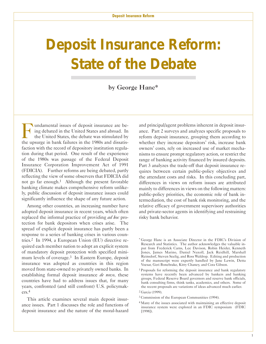## <span id="page-2-0"></span>**Deposit Insurance Reform: State of the Debate**

## by George Hane\*

I undamental issues of deposit insurance are be-<br>
ing debated in the United States and abroad. In<br>
the United States, the debate was stimulated by<br>
the unsurge in bank failures in the 1980s and dissatis-<br>
whether they incr the upsurge in bank failures in the 1980s and dissatis whether they increase depositors' risk, increase bank faction with the record of depository institution regula-<br>owners' costs, rely on increased use of market mechation during that period. One result of the experience nisms to ensure prompt regulatory action, or restrict the of the 1980s was passage of the Federal Deposit range of banking activity financed by insured deposits. Insurance Corporation Improvement Act of 1991 Part 3 analyzes the trade-off that deposit insurance re-(FDICIA). Further reforms are being debated, partly quires between certain public-policy objectives and reflecting the view of some observers that FDICIA did the attendant costs and risks. In this concluding part not go far enough.<sup>1</sup> Although the present favorable differences in views on reform issues are attributed banking climate makes comprehensive reform unlike-<br>mainly to differences in views on the following matters. banking climate makes comprehensive reform unlike mainly to differences in views on the following matters:<br>ly, public discussion of deposit insurance issues could<br>mublic-policy priorities the economic role of bank in-

adopted deposit insurance in recent years, which often and private-sector agents in identifying and restraining replaced the informal practice of providing *ad hoc* pro-<br>risky bank behavior. tection for bank depositors when crises arise. The spread of explicit deposit insurance has partly been a response to a series of banking crises in various countries.<sup>2</sup> In 1994, a European Union (EU) directive re-<br>Research and Statistics. The author acknowledges the valuable in-<br>Research and Statistics. The author acknowledges the valuable inquired each member nation to adopt an explicit system put from Frederick Carns, Lee Davison, Robin Heider, Kenneth of mandatory deposit protection with specified mini- Jones, James Marino, Daniel Nuxoll, Jack Reidhill, Marshall mum levels of coverage.<sup>3</sup> In Eastern Europe, deposit<br>insurance was adopted as countries in this region worsar, Geri Bonebrake, Kitty Chaney, and Cora Gibson. moved from state-owned to privately owned banks. In  $\frac{1 \text{ proposals}}{1 \text{ proposals}}$  is for reforming the deposit insurance and bank regulatory establishing formal deposit insurance *de novo*, these systems have recently been advanced years, confronted (and still confront) U.S. policymak- $\text{ers.}^4$  <sup>2</sup> Garcia (1999).

This article examines several main deposit insur-<br>ance issues. Part 1 discusses the role and functions of<br>the issues associated with maintaining an effective deposit<br>insurance system were explored in an FDIC symposium (FDI deposit insurance and the nature of the moral-hazard [1998]).

ing debated in the United States and abroad. In ance. Part 2 surveys and analyzes specific proposals to the United States, the debate was stimulated by reform deposit insurance, grouping them according to the attendant costs and risks. In this concluding part, public-policy priorities, the economic role of bank insignificantly influence the shape of any future action. the cost of bank risk monitoring, and the Among other countries, an increasing number have relative efficacy of government supervisory authorities

establishing formal deposit insurance *de novo*, these systems have recently been advanced by bankers and banking<br>groups, Federal Reserve Board governors and reserve bank officials, groups, Federal Reserve Board governors and reserve bank officials, bank consulting firms, think tanks, academics, and others. Some of years, confronted (and still confront) U.S. policymak-<br>we recent proposals are variatio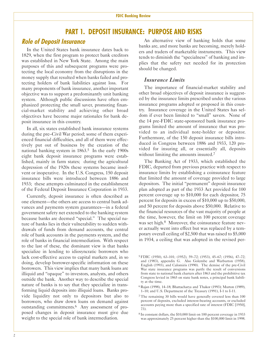## **PART 1. DEPOSIT INSURANCE: PURPOSE AND RISKS**

Follows established in New York State. Among the main<br>purposes of this and subsequent programs were pro-<br>tecting the local economy from the disruptions in the<br>tecting the local economy from the disruptions in the money supply that resulted when banks failed and pro-<br>
tecting holders of bank liabilities against loss. For *Insurance Limits*<br>
The importance of financial-market stability and<br>
The importance of financial-market stabil many proponents of bank insurance, another important objective was to support a predominantly unit banking other broad objectives of deposit insurance is suggestsystem. Although public discussions have often em-<br>phasized protecting the small saver, promoting finan-<br>insurance programs adopted or proposed in this counphasized protecting the small saver, promoting finan-<br>cial-market stability and achieving other broad try. Insurance coverage in the United States has selcial-market stability and achieving other broad try. Insurance coverage in the United States has sel-<br>objectives have become major rationales for bank de-<br>dom if ever been limited to "small" savers. None of objectives have become major rationales for bank de-

In all, six states established bank insurance systems<br>during the pre-Civil War period; some of them experi-<br>enced financial difficulties, and all of them were effec-<br>tively put out of business by the creation of the<br>nation lished, mainly in farm states; during the agricultural The Banking Act of 1933, which established the depression of the 1920s these systems became insol-<br>FDIC, departed from previous practice with respect to vent or inoperative. In the U.S. Congress, 150 deposit insurance limits by establishing a coinsurance feature insurance bills were introduced between 1886 and that limited the amount of coverage provided to large 1933; these attempts culminated in the establishment depositors. The initial "permanent" deposit insurance of the Federal Deposit Insurance Corporation in 1933. plan adopted as part of the 1933 Act provided for 100

one element—the others are access to central bank ad-<br>percent for deposits in excess of \$10,000 up to \$50,000,<br>vances and payments system guarantees—in a federal and 50 percent for deposits above \$50,000. Relative to vances and payments system guarantees—in a federal and 50 percent for deposits above \$50,000. Relative to vast majority of people at the financial resources of the vast majority of people at he cause banks are deemed "spec because banks are deemed "special." The special nature of banks lies in their vulnerability to sudden with-<br>was set high.<sup>8</sup> Moreover, the coinsurance feature nevdrawals of funds from demand accounts, the central er actually went into effect but was replaced by a temrole of bank accounts in the payments system, and the porary overall ceiling of \$2,500 that was raised to \$5,000 role of banks in financial intermediation. With respect in 1934, a ceiling that was adopted in the revised perto the last of these, the dominant view is that banks specialize in lending to idiosyncratic borrowers who lack cost-effective access to capital markets and, in so  ${}^{5}$  FDIC (1950), 63–101; (1952), 59–72; (1953), 45–67; (1956), 47–72; daing develop horrower specific information on these and (1983), appendix G. Also Golembe an doing, develop borrower-specific information on these<br>borrowers. This view implies that many bank loans are<br>borrowers. This view implies that many bank loans are<br>War state insurance programs was partly the result of conver illiquid and "opaque" to investors, analysts, and others from state to national bank charters after 1863 and the prohibitive tax<br>Congress levied in 1865 on state bank notes, a principal bank liabilioutside the bank. Another way to describe the special<br>nature of banks is to say that they specialize in trans-<br>forming liquid deposits into illiquid loans. Banks pro-<br> ${}^{6}$ Rajan (1998), 14–18; Bhattacharya and Thakor (199 vide liquidity not only to depositors but also to <sup>7</sup> The remaining 30 bills would have generally covered less than 100 borrowers, who draw down loans on demand against percent of deposits, excluded interest-bearing accounts, or excluded accounts paying more than a specified rate of interest (FDIC [1950], outstanding commitments.<sup>6</sup> Any assessment of pro- $\frac{2CC}{73}$ . posed changes in deposit insurance must give due 8 In constant dollars, the \$10,000 limit on 100 percent coverage in 1933

**Role of Deposit Insurance**<br>
In the United States bank insurance dates back to<br>
1829, when the first program to protect bank creditors<br>
1829, when the first program to protect bank creditors

posit insurance in this country.<br>In all six states established bank insurance systems grams limited the amount of insurance that was pro-<br>

Currently, deposit insurance is often described as percent coverage up to \$10,000 for each depositor, 75

weight to the special role of bank intermediation. was approximately 25 percent higher than the \$100,000 limit in 1998.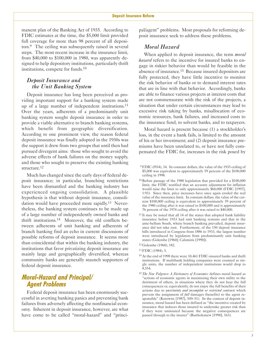manent plan of the Banking Act of 1935. According to FDIC estimates at the time, the \$5,000 limit provided full coverage for more than 98 percent of all depositors.9 The ceiling was subsequently raised in several steps. The most recent increase in the insurance limit, from \$40,000 to \$100,000 in 1980, was apparently designed to help depository institutions, particularly thrift institutions, compete for funds.10

#### *Deposit Insurance and the Unit Banking System*

Deposit insurance has long been perceived as providing important support for a banking system made up of a large number of independent institutions.11 Over the years, adherents of a predominantly unit banking system sought deposit insurance in order to provide a viable alternative to branch banking systems, which benefit from geographic diversification. According to one prominent view, the reason federal deposit insurance was finally adopted in the 1930s was the support it drew from two groups that until then had pursued divergent aims: those who sought to avoid the adverse effects of bank failures on the money supply, and those who sought to preserve the existing banking structure.12

Much has changed since the early days of federal deposit insurance; in particular, branching restrictions have been dismantled and the banking industry has experienced ongoing consolidation. A plausible hypothesis is that without deposit insurance, consolidation would have proceeded more rapidly.13 Nevertheless, the banking system continues to be made up of a large number of independently owned banks and thrift institutions.14 Moreover, the old conflicts between adherents of unit banking and adherents of branch banking find an echo in current discussions of possible reforms of deposit insurance. It seems more than coincidental that within the banking industry, the institutions that favor privatizing deposit insurance are mainly large and geographically diversified, whereas community banks are generally staunch supporters of federal deposit insurance.

### **Moral-Hazard and Principal/ Agent Problems**

Federal deposit insurance has been enormously successful in averting banking panics and preventing bank failures from adversely affecting the nonfinancial economy. Inherent in deposit insurance, however, are what have come to be called "moral-hazard" and "principal/agent" problems. Most proposals for reforming deposit insurance seek to address these problems.

#### *Moral Hazard*

When applied to deposit insurance, the term *moral hazard* refers to the incentive for insured banks to engage in riskier behavior than would be feasible in the absence of insurance.15 Because insured depositors are fully protected, they have little incentive to monitor the risk behavior of banks or to demand interest rates that are in line with that behavior. Accordingly, banks are able to finance various projects at interest costs that are not commensurate with the risk of the projects, a situation that under certain circumstances may lead to excessive risk taking by banks, misallocation of economic resources, bank failures, and increased costs to the insurance fund, to solvent banks, and to taxpayers.

Moral hazard is present because (1) a stockholder's loss, in the event a bank fails, is limited to the amount of his or her investment; and (2) deposit insurance premiums have been unrelated to, or have not fully compensated the FDIC for, increases in the risk posed by

<sup>9</sup> FDIC (l934), 34. In constant dollars, the value of the 1935 ceiling of \$5,000 was equivalent to approximately 59 percent of the \$100,000 ceiling in 1998.

<sup>10</sup> Before passage of the 1980 legislation that provided for a \$100,000 limit, the FDIC testified that an accurate adjustment for inflation would raise the limit to only approximately \$60,000 (FDIC [1997], 1:93). Since then, price increases have once again eroded the real value of the insurance limit. In constant dollars, the value of the current \$100,000 ceiling is equivalent to approximately 59 percent of the 1980 ceiling after it was raised to \$100,000 and is approximately 76 percent of the 1974 ceiling after it was raised to \$40,000.

<sup>&</sup>lt;sup>11</sup> It may be noted that all 14 of the states that adopted bank liability insurance before 1933 had unit banking systems and that in the ante-bellum South, where branch banking prevailed, deposit insurance did not take root. Furthermore, of the 150 deposit insurance bills introduced in Congress from 1886 to 1933, the largest number were introduced by legislators from predominantly unit banking states (Golembe [1960]; Calomiris [1990]).

<sup>12</sup> Golembe (1960), 182.

<sup>13</sup> FDIC (1984), 5.

<sup>&</sup>lt;sup>14</sup> At the end of 1998 there were 10,461 FDIC-insured banks and thrift institutions. If multibank holding companies were counted as single units, the number of independent institutions would drop to 8,554.

<sup>15</sup> *The Nee Palgrave: A Dictionary of Economics* defines moral hazard as "actions of economic agents in maximizing their own utility to the detriment of others, in situations where they do not bear the full consequences or, equivalently, do not enjoy the full benefits of their actions due to *uncertainty and incomplete or restricted contracts* which prevent the assignment of *full* damages (benefits) to the agent responsible" (Kotowitz [1987], 549-51). In the context of deposit insurance, moral hazard has been defined as "the incentive created by insurance that induces those insured to undertake greater risk than if they were uninsured because the negative consequences are passed through to the insurer" (Bartholemew [1990], 163).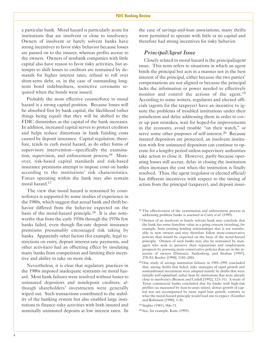#### **FDIC Banking Review**

a particular bank. Moral hazard is particularly acute for institutions that are insolvent or close to insolvency. Owners of insolvent or barely solvent banks have strong incentives to favor risky behavior because losses are passed on to the insurer, whereas profits accrue to the owners. Owners of nonbank companies with little capital also have reason to favor risky activities, but attempts to shift losses to creditors are restrained by demands for higher interest rates, refusal to roll over short-term debt, or, in the case of outstanding longterm bond indebtedness, restrictive covenants required when the bonds were issued.

Probably the most effective counterforce to moral hazard is a strong capital position. Because losses will be absorbed first by bank capital, the likelihood (other things being equal) that they will be shifted to the FDIC diminishes as the capital of the bank increases. In addition, increased capital serves to protect creditors and helps reduce distortions in bank funding costs caused by deposit insurance. Capital regulation, therefore, tends to curb moral hazard, as do other forms of supervisory intervention—specifically the examination, supervision, and enforcement process.16 Moreover, risk-based capital standards and risk-based insurance premiums attempt to impose costs on banks according to the institutions' risk characteristics. Forces operating within the bank may also restrain moral hazard.17

The view that moral hazard is restrained by counterforces is supported by some studies of experience in the 1980s, which suggest that actual bank and thrift behavior differed from the behavior expected on the basis of the moral-hazard principle.<sup>18</sup> It is also noteworthy that from the early 1930s through the 1970s few banks failed, even though flat-rate deposit insurance premiums presumably encouraged risk taking by banks. Apparently other factors (for example, legal restrictions on entry, deposit interest-rate payments, and other activities) had an offsetting effect by insulating many banks from competition and limiting their incentive and ability to take on more risk.

Nevertheless, it is clear that regulatory practices in the 1980s imposed inadequate restraints on moral hazard. Most bank failures were resolved without losses to uninsured depositors and nondeposit creditors, although shareholders' investments were generally wiped out. Such transactions contributed to the stability of the banking system but also enabled large institutions to finance risky activities with both insured and nominally uninsured deposits at low interest rates. In

the case of savings-and-loan associations, many thrifts were permitted to operate with little or no capital and therefore had strong incentives for risky behavior.

#### *Principal/Agent Issue*

Closely related to moral hazard is the principal/agent issue. This term refers to situations in which an agent binds the principal but acts in a manner not in the best interest of the principal, either because the two parties' compensations are not aligned or because the principal lacks the information or power needed to effectively monitor and control the actions of the agent.<sup>19</sup> According to some writers, regulators and elected officials (agents for the taxpayer) have an incentive to ignore the problems of troubled institutions under their jurisdiction and delay addressing them in order to cover up past mistakes, wait for hoped-for improvements in the economy, avoid trouble "on their watch," or serve some other purposes of self-interest.<sup>20</sup> Because insured depositors are protected, an insolvent institution with few uninsured depositors can continue to operate for a lengthy period unless supervisory authorities take action to close it. However, partly because operating losses still accrue, delay in closing the institution often increases the cost when the institution is finally resolved. Thus, the agent (regulator or elected official) has different incentives with respect to the timing of action from the principal (taxpayer), and deposit insur-

<sup>16</sup> The effectiveness of the examination and enforcement process in addressing problem banks is assessed in Curry *et al*. (1999).

<sup>17</sup> Owners of an insolvent or barely solvent bank may conclude that the bank has some franchise value as a going concern (resulting, for example, from existing lending relationships) that is not transferable to new owners and may therefore follow moreconservative policies than would be expected on the basis of the moral-hazard principle. Owners of such banks may also be restrained by managers who seek to preserve their reputations and employment prospects by pursuing more-conservative policies than are in the interests of owners (Demsetz, Saidenberg, and Strahan [1997], 278-83; Keeley [1990], 1183-200).

<sup>18</sup> One study of savings institution failures in 1985-1991 concluded that, among thrifts that failed, risky strategies of rapid growth and nontraditional investment were adopted mainly by thrifts that were initially *well-capitalized*, rather than by institutions that were already close to insolvency (Benson and Carhill [1992], 123-31). A study of Texas commercial banks concluded that for banks with high-risk profiles (as measured by loan-to-asset ratios), slower growth of capital was not accompanied by more rapid loan growth, contrary to what the moral-hazard principle would lead one to expect (Gunther and Robinson [1990], 1-8).

<sup>19</sup> Stiglitz (1987), 966-71.

<sup>20</sup> See, for example, Kane (1995).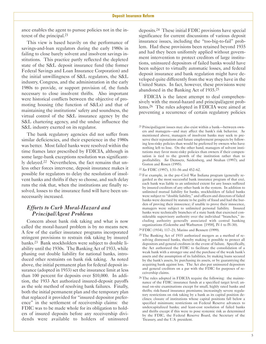ance enables the agent to pursue policies not in the interest of the principal.21

This view is based heavily on the performance of savings-and-loan regulators during the early 1980s in failing to close barely solvent and insolvent savings institutions. This practice partly reflected the depleted state of the S&L deposit insurance fund (the former Federal Savings and Loan Insurance Corporation) and the initial unwillingness of S&L regulators, the S&L industry, Congress, and the administration in the early 1980s to provide, or support provision of, the funds necessary to close insolvent thrifts. Also important were historical conflicts between the objective of promoting housing (the function of S&Ls) and that of maintaining the institutions' safety and soundness, the virtual control of the S&L insurance agency by the S&L chartering agency, and the undue influence the S&L industry exerted on its regulator.

The bank regulatory agencies did not suffer from similar deficiencies, and their experience in the 1980s was better. Most failed banks were resolved within the time frames later prescribed by FDICIA, although in some large-bank exceptions resolution was significantly delayed.22 Nevertheless, the fact remains that unless other forces intervene, deposit insurance makes it possible for regulators to delay the resolution of insolvent banks and thrifts if they so choose, and such delay runs the risk that, when the institutions are finally resolved, losses to the insurance fund will have been unnecessarily increased.

#### *Efforts to Curb Moral-Hazard and Principal/Agent Problems*

Concern about bank risk taking and what is now called the moral-hazard problem is by no means new. A few of the earlier insurance programs incorporated stringent provisions to restrain risk taking by insured banks.23 Bank stockholders were subject to double liability until the 1930s. The Banking Act of 1933, while phasing out double liability for national banks, introduced other restraints on bank risk taking. As noted above, the initial permanent plan for federal deposit insurance (adopted in 1933) set the insurance limit at less than 100 percent for deposits over \$10,000. In addition, the 1933 Act authorized insured-deposit payoffs as the sole method of resolving bank failures. Finally, both the initial permanent plan and the temporary plan that replaced it provided for "insured depositor preference" in the settlement of receivership claims: the FDIC was to be made whole for its obligation to holders of insured deposits before any receivership dividends were available to holders of uninsured

deposits.24 These initial FDIC provisions have special significance for current discussions of various deposit insurance issues, including the "too-big-to-fail" problem. Had these provisions been retained beyond 1935 and had they been uniformly applied without government intervention to protect creditors of large institutions, uninsured depositors of failed banks would have been subject to virtually automatic losses, and federal deposit insurance and bank regulation might have developed quite differently from the way they have in the United States. In fact, however, these provisions were abandoned in the Banking Act of 1935.25

FDICIA is the latest attempt to deal comprehensively with the moral-hazard and principal/agent problems.26 The rules adopted in FDICIA were aimed at preventing a recurrence of certain regulatory policies

- 23 For example, in the pre-Civil War Indiana program (generally regarded as the most successful bank insurance program of that era), each bank was liable to an unlimited extent for any losses suffered by insured creditors of any other bank in the system. In addition to unlimited mutual liability for banks, stockholders of failed banks were subject to "double liability," and officers and directors of failed banks were deemed by statute to be guilty of fraud and had the burden of proving their innocence; if unable to prove their innocence, managers were subject to unlimited personal liability. Insured banks were technically branches of a state bank that exercised considerable supervisory authority over the individual "branches," including authority generally associated with central banking organizations (Golembe and Warburton [1958], IV-1 to IV-30).
- 24 FDIC (1934), 117-21; Marino and Bennett (1999).
- 25 The Banking Act of 1935 authorized mergers as a method of resolving distressed banks, thereby making it possible to protect all depositors and general creditors in the event of failure. Specifically, the Act authorized the FDIC to facilitate the consolidation of a weak bank with a stronger one and the purchase of the weak bank's assets and the assumption of its liabilities, by making loans secured by the bank's assets, by purchasing its assets, or by guarantying the acquiring bank against loss. The Act also put uninsured depositors and general creditors on a par with the FDIC for purposes of receivership claims.
- 26 The rules adopted in FDICIA require the following: the maintenance of the FDIC insurance funds at a specified target level; annual on-site examinations except for small, highly rated banks and thrifts; risk-based insurance premiums; increasingly severe regulatory restrictions on risk taking by a bank as its capital position declines; closure of institutions whose capital positions fall below a specified minimum; restrictions on Federal Reserve advances to undercapitalized banks; and least-cost resolution of failed banks and thrifts except if this were to pose systemic risk as determined by the FDIC, the Federal Reserve Board, the Secretary of the Treasury, and the U.S. president.

<sup>&</sup>lt;sup>21</sup> Principal/agent issues may also exist within a bank-between owners and managers-and may affect the bank's risk behavior. As mentioned above, managers of insolvent banks may seek to preserve their reputations and future employment prospects by following less-risky policies than would be preferred by owners who have nothing left to lose. On the other hand, managers of solvent institutions may favor more-risky policies than owners if their compensation is tied to the growth of the institution rather than to profitability. *See* Demsetz, Saidenberg, and Strahan (1997); and Gorton and Rosen (1995).

<sup>22</sup> *See* FDIC (1997), 1:51-56 and 452-62.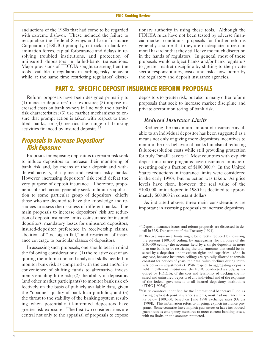with extreme disfavor. These included the failure to FDICIA rules have not been tested by adverse finanrecapitalize the Federal Savings and Loan Insurance cialmarket conditions, proposals for further reforms Corporation (FSLIC) promptly, cutbacks in bank ex-<br>generally assume that they are inadequate to restrain amination forces, capital forbearance and delays in re moral hazard or that they still leave too much discretion solving troubled institutions, and protection of in the hands of regulators. In general, most of these uninsured depositors in failed-bank transactions. proposals would subject banks and/or bank regulators Major provisions of FDICIA sought to strengthen the to greater market discipline by shifting to the private tools available to regulators in curbing risky behavior sector responsibilities, costs, and risks now borne by while at the same time restricting regulators' discre-<br>the regulatory and deposit insurance agencies.

## **PART 2. SPECIFIC DEPOSIT INSURANCE REFORM PROPOSALS**

creased costs on bank owners in line with their banks' privatesector monitoring of bank risk. risk characteristics; (3) use market mechanisms to ensure that prompt action is taken with respect to trou-<br>bled banks; or (4) restrict the range of banking<br>activities financed by insured deposits.<sup>27</sup><br>Reducing the maximum amount of insurance avail-

to induce depositors to increase their monitoring of deposit insurance programs have insurance limits repbank risk and, by means of their deposit and with-<br>resenting only a fraction of \$100,000.<sup>29</sup> In the United drawal activity, discipline and restrain risky banks. States reductions in insurance limits were considered However, increasing depositors' risk could defeat the in the early 1990s, but no action was taken. As price very purpose of deposit insurance. Therefore, propo-<br>levels have risen, however, the real value of the nents of such action generally seek to limit its applica-<br>\$100,000 limit adopted in 1980 has declined to approxtion to some particular group of depositors, chiefly imately \$60,000 in constant dollars. those who are deemed to have the knowledge and re-<br>sources to assess the riskiness of different banks. The<br>main proposals to increase depositors' risk are reduc-<br>main proposals to increase depositors' risk are reduction of deposit insurance limits, coinsurance for insured depositors, mandatory losses for uninsured depositors,<br>
insurance issues and reform proposals are discussed in de-<br>
insured-depositor preference in receivership claims,<br>  $\frac{27 \text{ Deposit instance} \times 1091.28 \text{ Eefective} \times 1091.28 \text{ Effective} \times 10$ 

the following considerations: (1) the relative cost of ac-<br>any case, because insurance ceilings are typically allowed to remain<br>any case, because insurance ceilings are typically allowed to remain quiring the information and analytical skills needed to<br>montor bank risk as compared with the cost and/or in-<br>convenience of shifting funds to alternative invest-<br>held in different institutions, the FDIC conducted a study, convenience of shifting funds to alternative invest-<br>meants anticipality of the shilling of depositors and fund by FDICIA, of the cost and feasibility of tracking the inments entailing little risk; (2) the ability of depositors sured and uninsured deposits of any individual and of the exposure (and other market participants) to monitor bank risk ef-<br>fectively on the basis of publicly available data given (FDIC [1993a]). fectively on the basis of publicly available data, given  $\frac{\text{(FDIC [1993a])}}{29 \text{ Of 68 countries identified by the International Monetary Fund as}}$ the "opaque" quality of bank loan portfolios; and (3)<br>the threat to the stability of the banking system result-<br>the threat to the stability of the banking system result-<br>its below \$100,000, based on June 1998 exchange rate ing when potentially ill-informed depositors have [1999]). This information refers to ongoing, explicit insurance pro-<br>grams. Some countries have implicit guarantees or have introduced greater risk exposure. The first two considerations are<br>central not only to the appraisal of proposals to expose<br>with no limits on the amounts protected.

and actions of the 1980s that had come to be regarded tionary authority in using these tools. Although the

Reform proposals have been designed primarily to depositors to greater risk, but also to many other reform (1) increase depositors' risk exposure; (2) impose in proposals that seek to increase market discipline and

able to an individual depositor has been suggested as a **Proposals to Increase Depositors'** means not only of giving more depositors incentives to monitor the risk behavior of banks but also of reducing failure-resolution costs while still providing protection Proposals for exposing depositors to greater risk seek for truly "small" savers.<sup>28</sup> Most countries with explicit

<sup>&</sup>lt;sup>28</sup> Effective insurance limits might be directly reduced by lowering ance coverage to particular classes of depositors.<br>  $\frac{$100,000 \text{ ceiling}]}{100,000 \text{ ceiling}}}$  the accounts held by a single depositor in more In assessing such proposals, one should bear in mind than one bank, or by restricting the total amounts that could be in-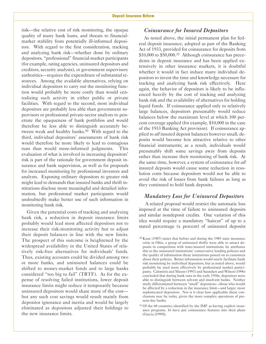risk-the relative cost of risk monitoring, the opaque quality of many bank loans, and threats to financialmarket stability from potentially ill-informed depositors. With regard to the first consideration, tracking and analyzing bank risk-whether done by ordinary depositors, "professional" financial-market participants (for example, rating agencies, uninsured depositors and creditors, security analysts), or government supervisory authorities-requires the expenditure of substantial resources. Among the available alternatives, relying on individual depositors to carry out the monitoring function would probably be more costly than would centralizing such activity in either public or private facilities. With regard to the second, most individual depositors are probably less able than government supervisors or professional private-sector analysts to penetrate the opaqueness of bank portfolios and would therefore be less able to distinguish accurately between weak and healthy banks.<sup>30</sup> With regard to the third, individual depositors' assessments of bank risk would therefore be more likely to lead to contagious runs than would more-informed judgments. This evaluation of what is involved in increasing depositors' risk is part of the rationale for government deposit insurance and bank supervision, as well as for proposals for increased monitoring by professional investors and analysts. Exposing ordinary depositors to greater risk might lead to demands that insured banks and thrift institutions disclose more meaningful and detailed information, but professional market participants would undoubtedly make better use of such information in monitoring bank risk.

Given the potential costs of tracking and analyzing bank risk, a reduction in deposit insurance limits probably would lead most affected depositors not to increase their risk-monitoring activity but to adjust their deposit balances in line with the new limits. The prospect of this outcome is heightened by the widespread availability in the United States of relatively risk-free alternatives for individuals' funds. Thus, existing accounts could be divided among two or more banks, and uninsured balances could be shifted to money-market funds and to large banks considered "too big to fail" (TBTF). As for the expense of resolving failed institutions, lower deposit insurance limits might reduce it temporarily because uninsured depositors would share more of the cost but any such cost savings would result mainly from depositor ignorance and inertia and would be largely eliminated as depositors adjusted their holdings to the new insurance limits.

#### *Coinsurance for Insured Depositors*

As noted above, the initial permanent plan for federal deposit insurance, adopted as part of the Banking Act of 1933, provided for coinsurance for deposits from \$10,000 to \$50,000.31 Although coinsurance has precedents in deposit insurance and has been applied extensively in other insurance markets, it is doubtful whether it would in fact induce many individual depositors to invest the time and knowledge necessary for tracking and analyzing bank risk effectively. Here again, the behavior of depositors is likely to be influenced heavily by the cost of tracking and analyzing bank risk and the availability of alternatives for holding liquid funds. If coinsurance applied only to relatively large balances, depositors presumably would reduce balances below the maximum level at which 100 percent coverage applied (for example, \$10,000 in the case of the 1933 Banking Act provision). If coinsurance applied to *all* insured deposit balances however small, deposits would become less attractive relative to other financial instruments; as a result, individuals would presumably shift some savings away from deposits rather than increase their monitoring of bank risk. At the same time, however, a system of coinsurance for *all* insured deposits would cause some reduction in resolution costs because depositors would not be able to avoid the risk of losses from bank failures as long as they continued to hold bank deposits.

#### *Mandatory Loss for Uninsured Depositors*

A related proposal would restrict the automatic loss imposed at the time of failure to uninsured deposits and similar nondeposit credits. One variation of this idea would require a mandatory "haircut" of up to a stated percentage (x percent) of uninsured deposits

<sup>30</sup> Kane (1987) states that before and during the 1985 state insurance crisis in Ohio, a group of uninsured thrifts were able to attract deposits in competition with state-insured institutions; he attributes this to the uninsured institutions' conservative lending policies and the quality of information these institutions passed on to customers about their policies. Better information would surely facilitate bank risk monitoring by individual depositors, but as noted above, would probably be used more effectively by professional market participants. Calomiris and Mason (1997) and Saunders and Wilson (1996) concluded that during bank runs in the early 1930s, depositors were able to distinguish between solvent and insolvent banks. Neither study differentiated between "small" depositors-those who would be affected by a reduction in the insurance limit—and larger, more sophisticated depositors. Nor is it clear how applicable these conclusions may be today, given the more complex operations of present-day banks.

<sup>31</sup> Of the 68 countries identified by the IMF as having explicit insurance programs, 16 have put coinsurance features into their plans (Garcia [1999]).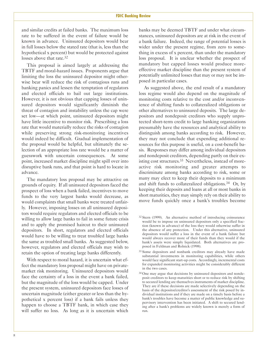#### **FDIC Banking Review**

and similar credits at failed banks. The maximum loss rate to be suffered in the event of failure would be known in advance. Uninsured depositors would bear in full losses below the stated rate (that is, less than the hypothetical x percent) but would be protected against losses above that rate.<sup>32</sup>

This proposal is aimed largely at addressing the TBTF and moral-hazard issues. Proponents argue that limiting the loss the uninsured depositor might otherwise bear will reduce the risk of contagious runs and banking panics and lessen the temptation of regulators and elected officials to bail out large institutions. However, it is not obvious that capping losses of uninsured depositors would significantly diminish the threat of contagion and instability unless the cap were set low-at which point, uninsured depositors might have little incentive to monitor risk. Prescribing a loss rate that would materially reduce the risks of contagion while preserving strong risk-monitoring incentives would indeed be difficult. Gradual implementation of the proposal would be helpful, but ultimately the selection of an appropriate loss rate would be a matter of guesswork with uncertain consequences. At some point, increased market discipline might spill over into disruptive bank runs, and that point is hard to locate in advance.

The mandatory loss proposal may be attractive on grounds of equity. If all uninsured depositors faced the prospect of loss when a bank failed, incentives to move funds to the very largest banks would decrease, as would complaints that small banks were treated unfairly. However, imposing losses on all uninsured depositors would require regulators and elected officials to be willing to allow large banks to fail in some future crisis and to apply the promised haircut to their uninsured depositors. In short, regulators and elected officials would have to be willing to treat troubled large banks the same as troubled small banks. As suggested below, however, regulators and elected officials may wish to retain the option of treating large banks differently.

With respect to moral hazard, it is uncertain what effect the mandatory loss proposal might have on privatemarket risk monitoring. Uninsured depositors would face the certainty of a loss in the event a bank failed, but the magnitude of the loss would be capped. Under the present system, uninsured depositors face losses of uncertain magnitude (either greater or less than the hypothetical x percent loss) if a bank fails unless they happen to choose a TBTF bank, in which case they will suffer no loss. As long as it is uncertain which

banks may be deemed TBTF and under what circumstances, uninsured depositors are at risk in the event of a bank failure. Indeed, the range of potential losses is wider under the present regime, from zero to something in excess of x percent, than under the mandatory loss proposal. It is unclear whether the prospect of mandatory but capped losses would produce moreeffective market discipline than the present system of potentially unlimited losses that may or may not be imposed in particular cases.

As suggested above, the end result of a mandatory loss regime would also depend on the magnitude of monitoring costs relative to the cost and/or inconvenience of shifting funds to collateralized obligations or other alternatives to uninsured deposits. The large depositors and nondeposit creditors who supply unprotected short-term credit to large banking organizations presumably have the resources and analytical ability to distinguish among banks according to risk. However, they may not conclude that expending additional resources for this purpose is useful, on a cost-benefit basis. Responses may differ among individual depositors and nondeposit creditors, depending partly on their existing cost structures.<sup>33</sup> Nevertheless, instead of moreactive risk monitoring and greater attempts to discriminate among banks according to risk, some or many may elect to keep their deposits to a minimum and shift funds to collateralized obligations.<sup>34</sup> Or, by keeping their deposits and loans at all or most banks in short maturities, they may simply rely on their ability to move funds quickly once a bank's troubles become

<sup>32</sup> Stern (1999). An alternative method of introducing coinsurance would be to impose on uninsured depositors only a specified fraction (known in advance) of the loss they would otherwise suffer in the absence of any protection. Under this alternative, uninsured depositors would suffer a loss in the event of a bank failure but would always recover more of their funds than they would if the bank's assets were simply liquidated. Both alternatives are proposed in Feldman and Rolnick (1998).

<sup>&</sup>lt;sup>33</sup> Some depositors and nonbank creditors may already have made substantial investments in monitoring capabilities, while others would face significant start-up costs. Accordingly, incremental costs for expanded monitoring activities might be considerably different in the two cases.

<sup>34</sup> One may argue that decisions by uninsured depositors and nondeposit creditors to keep maturities short or to reduce risk by shifting to secured lending are themselves instruments of market discipline. They are if these decisions are made selectively depending on the basis of the depositor/creditor's assessment of the risk posed by individual institutions and if they are made on a timely basis before a bank's troubles have become a matter of public knowledge and supervisory intervention has been initiated. A shift to secured lending after a bank's problems are widely known is merely a form of run.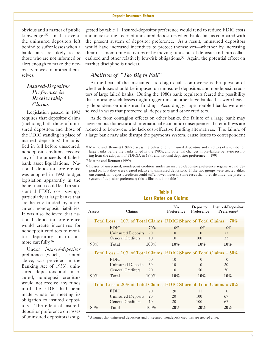obvious and a matter of public knowledge.35 In that event, the uninsured depositors left behind to suffer losses when a bank fails are likely to be those who are not informed or alert enough to make the necessary moves to protect themselves.

#### *Insured-Depositor Preference in Receivership Claims*

Legislation passed in 1993 requires that depositor claims (including both those of uninsured depositors and those of the FDIC standing in place of insured depositors) be satisfied in full before unsecured, nondeposit creditors receive any of the proceeds of failedbank asset liquidations. National depositor preference was adopted in 1993 budget legislation apparently in the belief that it could lead to substantial FDIC cost savings, particularly at large banks that are heavily funded by unsecured, nondeposit liabilities. It was also believed that national depositor preference would create incentives for nondeposit creditors to monitor depository institutions more carefully.<sup>36</sup>

Under *insured-depositor* preference (which, as noted above, was provided in the Banking Act of 1933), uninsured depositors and unsecured, nondeposit creditors would not receive any funds until the FDIC had been made whole for meeting its obligation to insured depositors. The effect of insureddepositor preference on losses of uninsured depositors is sug-

gested by table 1. Insured-depositor preference would tend to reduce FDIC costs and increase the losses of uninsured depositors when banks fail, as compared with the present system of depositor preference. As a result, uninsured depositors would have increased incentives to protect themselves—whether by increasing their risk-monitoring activities or by moving funds out of deposits and into collateralized and other relatively low-risk obligations.<sup>37</sup> Again, the potential effect on market discipline is unclear.

#### *Abolition of "Too Big to Fail"*

At the heart of the misnamed "too-big-to-fail" controversy is the question of whether losses should be imposed on uninsured depositors and nondeposit creditors of large failed banks. During the 1980s bank regulators feared the possibility that imposing such losses might trigger runs on other large banks that were heavily dependent on uninsured funding. Accordingly, large troubled banks were resolved in ways that protected all depositors and other creditors.

Aside from contagion effects on other banks, the failure of a large bank may have serious domestic and international economic consequences if credit flows are reduced to borrowers who lack costeffective funding alternatives. The failure of a large bank may also disrupt the payments system, cause losses to correspondent

36 Marino and Bennett (1999).

<sup>37</sup> Losses of unsecured, nondeposit creditors under an insured-depositor preference regime would depend on how they were treated relative to uninsured depositors. If the two groups were treated alike, unsecured, nondeposit creditors could suffer lower losses in some cases than they do under the present system of depositor preference; this is illustrated in table 1.

| Table 1<br><b>Loss Rates on Claims</b>                             |                           |         |        |          |          |  |  |  |
|--------------------------------------------------------------------|---------------------------|---------|--------|----------|----------|--|--|--|
|                                                                    |                           |         |        |          |          |  |  |  |
| Total Loss = 10% of Total Claims, FDIC Share of Total Claims = 70% |                           |         |        |          |          |  |  |  |
|                                                                    | <b>FDIC</b>               | 70%     | 10%    | $0\%$    | $0\%$    |  |  |  |
|                                                                    | <b>Uninsured Deposits</b> | 20      | 10     | $\Omega$ | 33       |  |  |  |
|                                                                    | <b>General Creditors</b>  | 10      | 10     | 100      | 33       |  |  |  |
| 90%                                                                | Total                     | $100\%$ | 10%    | 10%      | 10%      |  |  |  |
| Total Loss = 10% of Total Claims, FDIC Share of Total Claims = 50% |                           |         |        |          |          |  |  |  |
|                                                                    | <b>FDIC</b>               | 50      | 10     | $\Omega$ | $\Omega$ |  |  |  |
|                                                                    | <b>Uninsured Deposits</b> | 30      | 10     | $\Omega$ | 20       |  |  |  |
|                                                                    | <b>General Creditors</b>  | 20      | 10     | 50       | 20       |  |  |  |
| 90%                                                                | Total                     | $100\%$ | $10\%$ | $10\%$   | 10%      |  |  |  |
| Total Loss = 20% of Total Claims, FDIC Share of Total Claims = 70% |                           |         |        |          |          |  |  |  |
|                                                                    | <b>FDIC</b>               | 70      | 20     | 11       | $\Omega$ |  |  |  |
|                                                                    | <b>Uninsured Deposits</b> | 20      | 20     | 100      | 67       |  |  |  |
|                                                                    | <b>General Creditors</b>  | 10      | 20     | 100      | 67       |  |  |  |
| 80%                                                                | Total                     | $100\%$ | 20%    | 20%      | 20%      |  |  |  |

<sup>a</sup> Assumes that uninsured depositors and unsecured, nondeposit creditors are treated alike.

<sup>35</sup> Marino and Bennett (1999) discuss the behavior of uninsured depositors and creditors of a number of large banks before the banks failed in the 1980s, and potential changes in pre-failure behavior resulting from the adoption of FDICIA in 1991 and national depositor preference in 1993.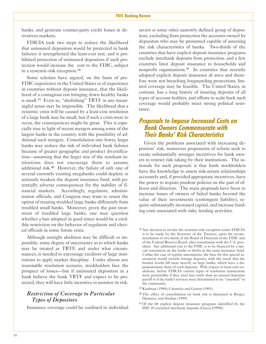banks, and generate counter-party credit losses in derivatives markets.

FDICIA took two steps to reduce the likelihood that uninsured depositors would be protected in bank failures: it strengthened the least-cost test, and it prohibited protection of uninsured depositors if such protection would increase the cost to the FDIC, subject to a systemic-risk exception. $38$ 

Some scholars have argued, on the basis of pre-FDIC experience in the United States or of experience in countries without deposit insurance, that the likelihood of a contagious run bringing down healthy banks is small.<sup>39</sup> Even so, "abolishing" TBTF in any meaningful sense may be impossible. The likelihood that a systemic crisis will be caused by a least-cost resolution of a large bank may be small, but if such a crisis were to occur, the consequences might be great. This is especially true in light of recent mergers among some of the largest banks in the country, with the possibility of additional such mergers. Consolidation into fewer, larger banks may reduce the risk of individual bank failures because of greater geographic and product diversification-assuming that the larger size of the resultant institutions does not encourage them to assume additional risk.40 However, the failure of only one of several currently existing megabanks could deplete or seriously weaken the deposit insurance fund, with potentially adverse consequences for the stability of financial markets. Accordingly, regulators, administration officials, and Congress may want to retain the option of treating troubled large banks differently from troubled small banks. Moreover, given the past treatment of troubled large banks, one may question whether a ban adopted in good times would be a credible restriction on the behavior of regulators and elected officials in some future crisis.

Although outright abolition may be difficult or impossible, some degree of uncertainty as to which banks may be treated as TBTF, and under what circumstances, is needed to encourage creditors of large institutions to apply market discipline. Under almost any reasonable resolution scenario, stockholders face the prospect of losses-but if uninsured depositors in a bank believe the bank TBTF and expect to be protected, they will have little incentive to monitor its risk.

#### *Restriction of Coverage to Particular Types of Depositors*

Insurance coverage could be confined to individual

savers or some other narrowly defined group of depositors, excluding from protection the accounts owned by depositors who may be presumed capable of assessing the risk characteristics of banks. Two-thirds of the countries that have explicit deposit insurance programs exclude interbank deposits from protection, and a few countries limit deposit insurance to households and nonprofit organizations.<sup>41</sup> In countries that recently adopted explicit deposit insurance *de novo* and therefore were not breaching longstanding protections, limited coverage may be feasible. The United States, in contrast, has a long history of insuring deposits of all types of account holders, and efforts to scale back such coverage would probably meet strong political resistance.

### **Proposals to Impose Increased Costs on Bank Owners Commensurate with Their Banks' Risk Characteristics**

Given the problems associated with increasing depositors' risk, numerous proponents of reform seek to create substantially stronger incentives for bank owners to restrict risk taking by their institutions. The rationale for such proposals is that bank stockholders have the knowledge to assess risk-return relationships accurately and, if provided appropriate incentives, have the power to require prudent policies on the part of officers and directors. The main proposals have been to increase losses of owners of failed banks beyond the value of their investments (contingent liability), require substantially increased capital, and increase funding costs associated with risky lending activities.

41 Of the 68 explicit deposit insurance programs identified by the IMF, 45 excluded interbank deposits (Garcia [1999]).

<sup>38</sup> Any decision to invoke the systemic-risk exception under FDICIA is to be made by the Secretary of the Treasury, upon the recommendation of two-thirds of the Board of Directors of the FDIC and of the Federal Reserve Board, after consultation with the U.S. president. Any additional cost to the FDIC is to be financed by a special assessment on the banks or thrifts in the same insurance fund. Unlike the case of regular assessments, the base for this special assessment would include foreign deposits, with the result that the burden would fall more heavily on large banks, which have a disproportionate share of such deposits. With respect to least-cost resolutions, before FDICIA various types of resolution transactions were permissible if they were less costly than an insured depositor payoff or if the bank's services were determined to be "essential" to the community.

<sup>39</sup> Kaufman (1994); Calomiris and Gorton (1991).

<sup>40</sup> The effect of consolidation on bank risk is discussed in Berger, Demsetz, and Strahan (1999).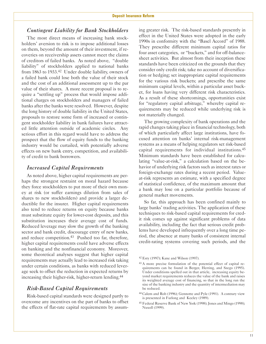#### *Contingent Liability for Bank Stockholders*

The most direct means of increasing bank stockholders' aversion to risk is to impose additional losses on them, beyond the amount of their investment, if recoveries on receivership assets cannot meet the claims of creditors of failed banks. As noted above, "double liability" of stockholders applied to national banks from 1863 to 1933.42 Under double liability, owners of a failed bank could lose both the value of their stock and the cost of an additional assessment up to the par value of their shares. A more recent proposal is to require a "settling up" process that would impose additional charges on stockholders and managers of failed banks after the banks were resolved. However, despite the long history of double liability in the United States, proposals to restore some form of increased or contingent stockholder liability in bank failures have attracted little attention outside of academic circles. Any serious effort in this regard would have to address the prospect that the flow of equity funds to the banking industry would be curtailed, with potentially adverse effects on new bank entry, competition, and availability of credit to bank borrowers.

#### *Increased Capital Requirements*

As noted above, higher capital requirements are perhaps the strongest restraint on moral hazard because they force stockholders to put more of their own money at risk (or suffer earnings dilution from sales of shares to new stockholders) and provide a larger deductible for the insurer. Higher capital requirements also tend to reduce returns on equity because banks must substitute equity for lower-cost deposits, and this substitution increases their average cost of funds. Reduced leverage may slow the growth of the banking sector and bank credit, discourage entry of new banks, and reduce competition.<sup>43</sup> Pushed too far, therefore, higher capital requirements could have adverse effects on banking and the nonfinancial economy. Moreover, some theoretical analyses suggest that higher capital requirements may actually lead to increased risk taking under certain conditions, as banks with reduced leverage seek to offset the reduction in expected returns by increasing their higher-risk, higher-return lending.<sup>44</sup>

#### *Risk-Based Capital Requirements*

Risk-based capital standards were designed partly to overcome any incentives on the part of banks to offset the effects of flat-rate capital requirements by assum-

ing greater risk. The risk-based standards presently in effect in the United States were adopted in the early 1990s in conformity with the "Basel Accord" of 1988. They prescribe different minimum capital ratios for four asset categories, or "buckets," and for off-balancesheet activities. But almost from their inception these standards have been criticized on the grounds that they consider only credit risk; take no account of diversification or hedging; set inappropriate capital requirements for the various risk buckets; and prescribe the same minimum capital levels, within a particular asset bucket, for loans having very different risk characteristics. As a result of these shortcomings, opportunities exist for "regulatory capital arbitrage," whereby capital requirements may be reduced while underlying risk is not materially changed.

The growing complexity of bank operations and the rapid changes taking place in financial technology, both of which particularly affect large institutions, have focused attention on banks' internal risk-management systems as a means of helping regulators set risk-based capital requirements for individual institutions.45 Minimum standards have been established for calculating "value-at-risk," a calculation based on the behavior of underlying risk factors such as interest rates or foreign-exchange rates during a recent period. Valueat-risk represents an estimate, with a specified degree of statistical confidence, of the maximum amount that a bank may lose on a particular portfolio because of general market movements.

So far, this approach has been confined mainly to large banks' trading activities. The application of these techniques to risk-based capital requirements for credit risk comes up against significant problems of data availability, including the fact that serious credit problems have developed infrequently over a long time period, the absence at many banks of consistent internal credit-rating systems covering such periods, and the

<sup>42</sup> Esty (1997); Kane and Wilson (1997).

<sup>43</sup> A more precise formulation of the potential effect of capital requirements can be found in Berger, Herring, and Szego (1995). Under conditions spelled out in that article, increasing equity beyond market requirements reduces the value of the bank and raises its weighted average cost of financing, so that in the long run the size of the banking industry and the quantity of intermediation may be reduced.

<sup>44</sup> Calem and Rob (1996); Gennotte and Pyle (1991). A contrary view is presented in Furlong and Keeley (1989).

<sup>45</sup> Federal Reserve Bank of New York (1998); Jones and Mingo (1998); Nuxoll (1999).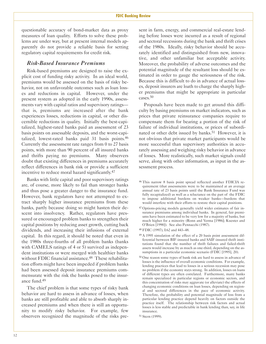questionable accuracy of bond-market data as proxy measures of loan quality. Efforts to solve these problems are under way, but at present internal models apparently do not provide a reliable basis for setting regulatory capital requirements for credit risk.

#### *Risk-Based Insurance Premiums*

Risk-based premiums are designed to raise the explicit cost of funding risky activity. In an ideal world, premiums would be assessed on the basis of risky behavior, not on unfavorable outcomes such as loan losses and reductions in capital. However, under the present system as adopted in the early 1990s, assessments vary with capital ratios and supervisory ratingsthat is, premiums are increased after the bank experiences losses, reductions in capital, or other discernible reductions in quality. Initially the best-capitalized, highest-rated banks paid an assessment of 23 basis points on assessable deposits, and the worst-capitalized, lowest-rated banks paid  $31$  basis points.<sup>46</sup> Currently the assessment rate ranges from 0 to 27 basis points, with more than 90 percent of all insured banks and thrifts paying no premiums. Many observers doubt that existing differences in premiums accurately reflect differences in bank risk or provide a sufficient incentive to reduce moral hazard significantly.<sup>47</sup>

Banks with little capital and poor supervisory ratings are, of course, more likely to fail than stronger banks and thus pose a greater danger to the insurance fund. However, bank regulators have not attempted to extract sharply higher insurance premiums from these banks, partly because doing so might hasten their descent into insolvency. Rather, regulators have pressured or encouraged problem banks to strengthen their capital positions by reducing asset growth, cutting back dividends, and increasing their infusions of external capital. In this regard, it should be noted that even in the 1980s three-fourths of all problem banks (banks with CAMELS ratings of 4 or 5) survived as independent institutions or were merged with healthier banks without FDIC financial assistance.<sup>48</sup> These rehabilitation efforts might have been impeded if problem banks had been assessed deposit insurance premiums commensurate with the risk the banks posed to the insurance fund.49

The chief problem is that some types of risky bank behavior are hard to assess in advance of losses, when banks are still profitable and able to absorb sharply increased premiums and when there is still an opportunity to modify risky behavior. For example, few observers recognized the magnitude of the risks pre-

sent in farm, energy, and commercial real-estate lending before losses were incurred as a result of regional and sectoral recessions during the bank and thrift crises of the 1980s. Ideally, risky behavior should be accurately identified and distinguished from new, innovative, and other unfamiliar but acceptable activity. Moreover, the probability of adverse outcomes and the potential magnitude of the resultant loss should be estimated in order to gauge the seriousness of the risk. Because this is difficult to do in advance of actual losses, deposit insurers are loath to charge the sharply higher premiums that might be appropriate in particular cases.50

Proposals have been made to get around this difficulty by basing premiums on market indicators, such as prices that private reinsurance companies require to compensate them for bearing a portion of the risk of failure of individual institutions, or prices of subordinated or other debt issued by banks.<sup>51</sup> However, it is not obvious that private market participants would be more successful than supervisory authorities in accurately assessing and weighing risky behavior in advance of losses. More realistically, such market signals could serve, along with other information, as input in the assessment process.

- 46 This narrow 8 basis point spread reflected another FDICIA requirement (that assessments were to be maintained at an average annual rate of 23 basis points until the Bank Insurance Fund was fully recapitalized) as well as a reluctance on the part of the FDIC to impose additional burdens on weaker banks-burdens that would interfere with their efforts to restore their capital positions.
- <sup>47</sup> Options-pricing models generally yield wider estimates of fair insurance premiums among individual banks. In general, fair premiums have been estimated to be very low for a majority of banks, but much higher for a minority (Ronn and Verma [1986]; Kuester and O'Brien [1990]). See also Pennacchi (1987).
- 48 FDIC (1997), I:62 and 443-48.
- 49 A 1995 simulation of the effect of a 20 basis point assessment differential between BIF-insured banks and SAIF-insured thrift institutions found that the number of thrift failures and failed-thrift assets would increase by as much as one-third, depending on the assumptions in a particular economic scenario (FDIC [1995], 20).
- 50 One reason some types of bank risk are hard to assess in advance of losses is the influence of overall economic conditions. For example, lending practices that lead to losses in a serious recession may pose no problem if the economy stays strong. In addition, losses on loans of different types are often correlated. Furthermore, many banks remain specialized in particular regions or economic sectors, and this concentration of risks may aggravate (or alleviate) the effects of changing economic conditions on loan losses, depending on regional and sectoral differences in the pace of economic activity. Therefore, the probability and potential magnitude of loss from a particular lending practice depend heavily on factors outside the practice itself. The relationship between risk factors and actual losses is less stable and predictable in bank lending than, say, in life insurance.
- 51 Stern (1999).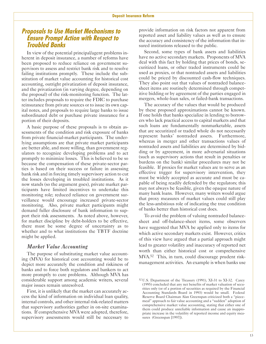## **Proposals to Use Market Mechanisms to Ensure Prompt Action with Respect to Troubled Banks**

In view of the potential principal/agent problems inherent in deposit insurance, a number of reforms have been proposed to reduce reliance on government supervisors to assess and restrict bank risk and to resolve failing institutions promptly. These include the substitution of market value accounting for historical cost accounting, outright privatization of deposit insurance, and the privatization (in varying degree, depending on the proposal) of the risk-monitoring function. The latter includes proposals to require the FDIC to purchase reinsurance from private sources or to issue its own capital notes, and proposals to require large banks to issue subordinated debt or purchase private insurance for a portion of their deposits.

A basic purpose of these proposals is to obtain assessments of the condition and risk exposure of banks from private financial-market participants. The underlying assumptions are that private market participants are better able, and more willing, than government regulators to recognize developing problems and to act promptly to minimize losses. This is believed to be so because the compensation of these private-sector parties is based on their success or failure in assessing bank risk and in forcing timely supervisory action to cut the losses developing in troubled institutions. As it now stands (so the argument goes), private market participants have limited incentives to undertake this monitoring role; reduced reliance on government surveillance would encourage increased private-sector monitoring. Also, private market participants might demand fuller disclosure of bank information to support their risk assessments. As noted above, however, for market discipline by debt-holders to be effective, there must be some degree of uncertainty as to whether and to what institutions the TBTF doctrine might be applied.

#### *Market Value Accounting*

The purpose of substituting market value accounting (MVA) for historical cost accounting would be to depict more accurately the condition and riskiness of banks and to force both regulators and bankers to act more promptly to cure problems. Although MVA has considerable support among academic writers, several major issues remain unresolved.

First, it is unlikely that the market can accurately access the kind of information on individual loan quality, internal controls, and other internal risk-related matters that supervisory authorities gather in on-site examinations. If comprehensive MVA were adopted, therefore, supervisory assessments would still be necessary to

provide information on risk factors not apparent from reported asset and liability values as well as to ensure the accuracy and consistency of the information that insured institutions released to the public.

Second, some types of bank assets and liabilities have no active secondary markets. Proponents of MVA deal with this fact by holding that prices of bonds, securitized loans, or other traded instruments could be used as proxies, or that nontraded assets and liabilities could be priced by discounted cash-flow techniques. They also point out that values of nontraded balancesheet items are routinely determined through competitive bidding or by agreement of the parties engaged in mergers, whole-loan sales, or failed-bank transactions.

The accuracy of the values that would be produced by these proposed approximations cannot be known. If one holds that banks specialize in lending to borrowers who lack practical access to capital markets and that such loans are fundamentally nonmarketable, assets that are securitized or traded whole do not necessarily represent banks' nontraded assets. Furthermore, whereas in merger and other transactions values of nontraded assets and liabilities are determined by bidding or by agreement, in more adversarial situations (such as supervisory actions that result in penalties or burdens on the bank) similar procedures may not be feasible. If proxies for market values are to serve as an effective trigger for supervisory intervention, they must be widely accepted as accurate and must be capable of being readily defended by the regulators; this may not always be feasible, given the opaque nature of many bank loans. However, many writers would argue that proxy measures of market values could still play the less-ambitious role of indicating the true condition of banks better than historical cost does.

To avoid the problem of valuing nontraded balancesheet and off-balance-sheet items, some observers have suggested that MVA be applied only to items for which active secondary markets exist. However, critics of this view have argued that a partial approach might lead to greater volatility and inaccuracy of reported net worth than either historical cost or comprehensive MVA.52 This, in turn, could discourage prudent riskmanagement activities. An example is when banks use

<sup>52</sup> U.S. Department of the Treasury (1991), XI-31 to XI-32. Carey (1995) concluded that any net benefits of market valuation of securities only (or of a portion of securities as required by the Financial Accounting Standards Board in 1993) would be small. Federal Reserve Board Chairman Alan Greenspan criticized both a "piecemeal" approach to fair value accounting and a "sudden" adoption of comprehensive market value accounting, stating that either one of them could produce unreliable information and cause an inappropriate increase in the volatility of reported income and equity measures (Greenspan [1997]).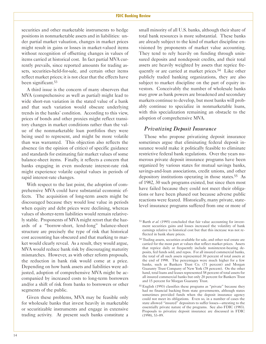securities and other marketable instruments to hedge positions in nonmarketable assets and in liabilities: under partial market valuation, changes in market prices might result in gains or losses in market-valued items without recognition of offsetting changes in values of items carried at historical cost. In fact partial MVA currently prevails, since reported amounts for trading assets, securities-held-for-sale, and certain other items reflect market prices; it is not clear that the effects have been significant.53

A third issue is the concern of many observers that MVA (comprehensive as well as partial) might lead to wide short-run variation in the stated value of a bank and that such variation would obscure underlying trends in the banks' condition. According to this view, prices of bonds and other proxies might reflect transitory changes in market conditions rather than the value of the nonmarketable loan portfolios they were being used to represent, and might be more volatile than was warranted. This objection also reflects the absence (in the opinion of critics) of specific guidance and standards for estimating fair market values of some balance-sheet items. Finally, it reflects a concern that banks engaging in even moderate interest-rate risk might experience volatile capital values in periods of rapid interest-rate changes.

With respect to the last point, the adoption of comprehensive MVA could have substantial economic effects. The acquisition of long-term assets might be discouraged because they would lose value in periods when equity and debt prices were declining, whereas values of shorter-term liabilities would remain relatively stable. Proponents of MVA might retort that the hazards of a "borrow-short, lend-long" balance-sheet structure are precisely the type of risk that historical cost accounting has obscured and that marking to market would clearly reveal. As a result, they would argue, MVA would reduce bank risk by discouraging maturity mismatches. However, as with other reform proposals, the reduction in bank risk would come at a price. Depending on how bank assets and liabilities were adjusted, adoption of comprehensive MVA might be accompanied by increased costs to long-term borrowers and/or a shift of risk from banks to borrowers or other segments of the public.

Given these problems, MVA may be feasible only for wholesale banks that invest heavily in marketable or securitizable instruments and engage in extensive trading activity. At present such banks constitute a

small minority of all U.S. banks, although their share of total bank resources is more substantial. These banks are already subject to the kind of market discipline envisioned by proponents of market value accounting. They tend to rely heavily on funding through uninsured deposits and nondeposit credits, and their total assets are heavily weighted by assets that reprice frequently or are carried at market prices.54 Like other publicly traded banking organizations, they are also subject to market discipline on the part of equity investors. Conceivably the number of wholesale banks may grow as bank powers are broadened and secondary markets continue to develop, but most banks will probably continue to specialize in nonmarketable loans, with this specialization remaining an obstacle to the adoption of comprehensive MVA.

#### *Privatizing Deposit Insurance*

Those who propose privatizing deposit insurance sometimes argue that eliminating federal deposit insurance would make it politically feasible to eliminate restrictive federal bank regulations. Over the years numerous private deposit insurance programs have been organized by various states for mutual savings banks, savings-and-loan associations, credit unions, and other depository institutions operating in those states.55 As of 1982, 30 such programs existed, but since then most have failed because they could not meet their obligations or have been phased out because adverse public reactions were feared. Historically, many private, statelevel insurance programs suffered from one or more of

<sup>53</sup> Barth *et al*. (1995) concluded that fair value accounting for investment securities gains and losses increased the volatility of bank earnings relative to historical cost but that this increase was not reflected in bank share prices.

<sup>54</sup> Trading assets, securities available for sale, and other real estate are carried for the most part at values that reflect market prices. Assets that reprice daily or frequently include noninterest-bearing deposits, fed funds sold, and repos. For all insured commercial banks, the total of all such assets represented 30 percent of total assets at the end of 1998. The percentages were much higher for a few banks, such as Bankers Trust Co. (71 percent) and Morgan Guaranty Trust Company of New York (78 percent). On the other hand, total loans and leases represented 58 percent of total assets for all insured commercial banks but only 20 percent for Bankers Trust and 15 percent for Morgan Guaranty Trust.

<sup>55</sup> English (1993) classifies these programs as "private" because they had no financial backing from state governments, although states sometimes provided funds when the deposit insurance agency could not meet its obligations. Even so, in a number of cases the state allowed "insured" depositors to suffer losses—attesting to the essentially private nature of the programs. See also FDIC (1983). Proposals to privatize deposit insurance are discussed in FDIC (1998), 53-89.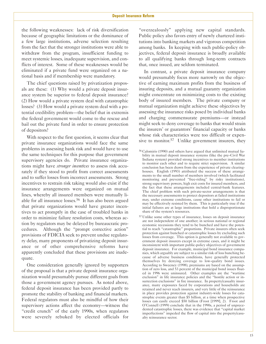#### **Deposit Insurance Reform**

the following weaknesses: lack of risk diversification because of geographic limitations or the dominance of a few large institutions, adverse selection resulting from the fact that the stronger institutions were able to withdraw from the program, insufficient funding to meet systemic losses, inadequate supervision, and conflicts of interest. Some of these weaknesses would be eliminated if a private fund were organized on a national basis and if membership were mandatory.

The chief questions raised by privatization proposals are these: (1) Why would a private deposit insurance system be superior to federal deposit insurance? (2) How would a private system deal with catastrophic losses? (3) How would a private system deal with a potential credibility problem-the belief that in extremis the federal government would come to the rescue and bail out the private fund in order to ensure protection of depositors?

With respect to the first question, it seems clear that private insurance organizations would face the same problems in assessing bank risk and would have to use the same techniques for this purpose that government supervisory agencies do. Private insurance organizations might have *stronger incentives* to assess risk accurately if they stood to profit from correct assessments and to suffer losses from incorrect assessments. Strong incentives to restrain risk taking would also exist if the insurance arrangements were organized on mutual lines, whereby all insured members were mutually liable for all insurance losses.56 It has also been argued that private organizations would have greater incentives to act promptly in the case of troubled banks in order to minimize failure resolution costs, whereas action by regulators may be delayed by bureaucratic procedures. Although the "prompt corrective action" provisions of FDICIA seek to prevent undue regulatory delay, many proponents of privatizing deposit insurance or of other comprehensive reforms have apparently concluded that these provisions are inadequate.

One consideration generally ignored by supporters of the proposal is that a private deposit insurance organization would presumably pursue different goals from those a government agency pursues. As noted above, federal deposit insurance has been provided partly to promote the stability of banking and financial markets. Federal regulators must also be mindful of how their supervisory actions affect the economy-witness the "credit crunch" of the early 1990s, when regulators were severely rebuked by elected officials for

"overzealously" applying new capital standards. Public policy also favors entry of newly chartered institutions into banking markets and vigorous competition among banks. In keeping with such public-policy objectives, federal deposit insurance is broadly available to all qualifying banks through long-term contracts that, once issued, are seldom terminated.

In contrast, a private deposit insurance company would presumably focus more narrowly on the objective of earning maximum profits from the business of insuring deposits, and a mutual guaranty organization might concentrate on minimizing costs to the existing body of insured members. The private company or mutual organization might achieve these objectives by assessing the insurance risks posed by individual banks and charging commensurate premiums-or instead might seek to deny coverage to banks that would strain the insurers' or guarantors' financial capacity or banks whose risk characteristics were too difficult or expensive to monitor.<sup>57</sup> Unlike government insurers, they

- 56 Calomiris (1990) and others have argued that unlimited mutual liability in mutual deposit insurance systems (like the pre-Civil War Indiana system) provided strong incentives to member institutions to monitor each other and to require strict supervision. A similar conclusion has been drawn from the experience of private clearinghouses. English (1993) attributed the success of these arrangements to the small number of members involved (which facilitated monitoring and prevented "free-riding" by risky institutions), strong supervisory powers, high exit costs for insured members, and the fact that these arrangements included central-bank features. The chief problem with such private-sector arrangements is that the necessary assessments to protect depositors at failed institutions may, under extreme conditions, cause other institutions to fail or may be effectively resisted by them. This is particularly true if the initial failures are at large institutions that hold a disproportionate share of the system's resources.
- 57 Unlike some other types of insurance, losses on deposit insurance are not independent of one another; in serious national or regional economic recessions they tend to be bunched and have the potential to reach "catastrophic" proportions. Private insurers often seek protection against bunched or catastrophic losses by excluding such losses from coverage. This option is generally not available to government deposit insurers except in extreme cases, and it might be inconsistent with important public-policy objectives of government deposit insurance. For example, municipal bond insurance companies, which arguably are subject to a similar risk of loss bunching because of adverse business conditions, have generally protected themselves by denying coverage to low-quality bond issues. According to Sweeney (1998), premiums are based on the assumption of zero loss, and 53 percent of the municipal bond issues floated in 1996 were uninsured. Other examples are the "wartime exclusion" in life insurance policies and the "hostile action or insurrection exclusions" in fire insurance. In property/casualty insurance, many exposures faced by corporations and households are retained and never reach insurers, and very little of the reinsurance in place provides protection against industry-wide losses for catastrophic events greater than \$5 billion, at a time when prospective losses can easily exceed \$50 billion (Froot [1999], 2). Froot and O'Connell (1999) conclude that in the 1990s, a period of unprecedented catastrophic losses, there was evidence that "capital market imperfections" impeded the flow of capital into the property/casualty reinsurance sector.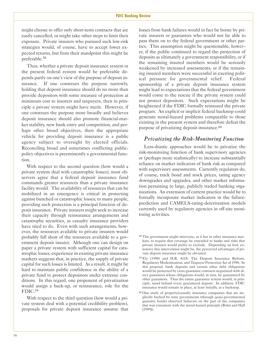#### **FDIC Banking Review**

might choose to offer only short-term contracts that are easily cancelled, or might take other steps to limit their exposure. Private insurers who pursued such low-risk strategies would, of course, have to accept lower expected returns, but from their standpoint this might be preferable.58

Thus, whether a private deposit insurance system or the present federal system would be preferable depends partly on one's view of the purpose of deposit insurance. If one construes the purpose narrowly, holding that deposit insurance should do no more than provide depositors with some measure of protection at minimum cost to insurers and taxpayers, then in principle a private system might have merit. However, if one construes the purpose more broadly and believes deposit insurance should also promote financial-market stability, new bank entry and competition, and perhaps other broad objectives, then the appropriate vehicle for providing deposit insurance is a public agency subject to oversight by elected officials. Reconciling broad and sometimes conflicting publicpolicy objectives is preeminently a governmental function.

With respect to the second question (how would a private system deal with catastrophic losses), most observers agree that a federal deposit insurance fund commands greater resources than a private insurance facility would. The availability of resources that can be mobilized in an emergency is critical in protecting against bunched or catastrophic losses; to many people, providing such protection is a principal function of deposit insurance. Private insurers might seek to increase their capacity through reinsurance arrangements and catastrophe securities, as casualty insurance providers have tried to do. Even with such arrangements, however, the resources available to private insurers would probably fall short of the resources available to a government deposit insurer. Although one can design on paper a private system with sufficient capital for catastrophic losses, experience in existing private insurance markets suggests that, in practice, the supply of private capital for such losses is limited. As a result, it might be hard to maintain public confidence in the ability of a private fund to protect depositors under extreme conditions. In this regard, one proponent of privatization would assign a back-up, or reinsurance, role for the FDIC.59

With respect to the third question (how would a private system deal with a potential credibility problem), proposals for private deposit insurance assume that

losses from bank failures would in fact be borne by private insurers or guarantors who would not be able to pass them on to the federal government or other parties. This assumption might be questionable, however, if the public continued to regard the protection of deposits as ultimately a government responsibility, or if the remaining insured members would be seriously weakened by increased assessments, or if the remaining insured members were successful in exerting political pressure for governmental relief. Federal sponsorship of a private deposit insurance system might lead to expectations that the federal government would come to the rescue if the private system could not protect depositors. Such expectations might be heightened if the FDIC formally reinsured the private program. An explicit or implicit federal backstop could generate moral-hazard problems comparable to those existing in the present system and therefore defeat the purpose of privatizing deposit insurance.<sup>60</sup>

#### *Privatizing the Risk-Monitoring Function*

Less-drastic approaches would be to privatize the risk-monitoring function of bank supervisory agencies or (perhaps more realistically) to increase substantially reliance on market indicators of bank risk as compared with supervisory assessments. Currently regulators do, of course, track bond and stock prices, rating agency downgrades and upgrades, and other market information pertaining to large, publicly traded banking organizations. An extension of current practice would be to formally incorporate market indicators in the failureprediction and CAMELS-rating-deterioration models currently used by regulatory agencies in off-site monitoring activities.

<sup>58</sup> The government might intervene, as it has in other insurance markets, to require that coverage be extended to banks and risks that private insurers would prefer to exclude. Depending on how extensive this intervention might be, the perceived advantages of private deposit insurance might be obviated.

<sup>59</sup> Ely (1998) and H.R. 4318: The Deposit Insurance Reform, Regulatory Modernization, and Taxpayer Protection Act of 1996. In this proposal, bank deposits and certain other debt obligations would be protected by cross-guarantee contracts negotiated with direct guarantors whose obligations would, in turn, be guaranteed by other guarantors. Thus the entire guarantee system would, in principle, stand behind every guaranteed deposit. In addition, FDIC insurance would remain in place, at least initially, as a backstop.

<sup>60</sup> One study of property/casualty insurance companies that are implicitly backed by state governments (through quasi-governmental guaranty funds) observed behavior on the part of the companies that was consistent with the moral-hazard principle (Bohn and Hall [1999]).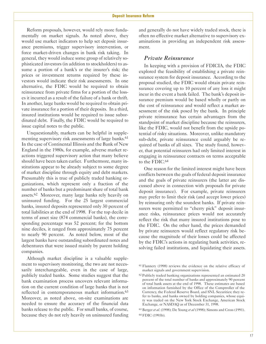Reform proposals, however, would rely more fundamentally on market signals. As noted above, they would use market indicators to help set deposit insurance premiums, trigger supervisory intervention, or force market-driven changes in bank risk taking. In general, they would induce some group of relatively sophisticated investors (in addition to stockholders) to assume a portion of a bank's or the insurer's risk; the prices or investment returns required by these investors would indicate their risk assessments. In one alternative, the FDIC would be required to obtain reinsurance from private firms for a portion of the losses it incurred as a result of the failure of a bank or thrift. In another, large banks would be required to obtain private insurance for a portion of their deposits. In a third, insured institutions would be required to issue subordinated debt. Finally, the FDIC would be required to issue capital notes to the public.

Unquestionably, markets can be helpful in supplementing supervisory risk assessments of large banks.<sup>61</sup> In the case of Continental Illinois and the Bank of New England in the 1980s, for example, adverse market reactions triggered supervisory action that many believe should have been taken earlier. Furthermore, many institutions appear to be already subject to some degree of market discipline through equity and debt markets. Presumably this is true of publicly traded banking organizations, which represent only a fraction of the number of banks but a predominant share of total bank assets.62 Moreover, many large banks rely heavily on uninsured funding. For the 25 largest commercial banks, insured deposits represented only 30 percent of total liabilities at the end of 1998. For the top decile in terms of asset size (874 commercial banks), the corresponding percentage was 52 percent; for the bottom nine deciles, it ranged from approximately 75 percent to nearly 90 percent. As noted below, most of the largest banks have outstanding subordinated notes and debentures that were issued mainly by parent holding companies.

Although market discipline is a valuable supplement to supervisory monitoring, the two are not necessarily interchangeable, even in the case of large, publicly traded banks. Some studies suggest that the bank examination process uncovers relevant information on the current condition of large banks that is not reflected in contemporaneous market information.<sup>63</sup> Moreover, as noted above, on-site examinations are needed to ensure the accuracy of the financial data banks release to the public. For small banks, of course, because they do not rely heavily on uninsured funding and generally do not have widely traded stock, there is often no effective market alternative to supervisory examinations in providing an independent risk assessment.

#### *Private Reinsurance*

In keeping with a provision of FDICIA, the FDIC explored the feasibility of establishing a private reinsurance system for deposit insurance. According to the proposal studied, the FDIC would obtain private reinsurance covering up to 10 percent of any loss it might incur in the event a bank failed. The bank's deposit insurance premium would be based wholly or partly on the cost of reinsurance and would reflect a market assessment of the risk posed by the bank. In principle private reinsurance has certain advantages from the standpoint of market discipline because the reinsurers, like the FDIC, would not benefit from the upside potential of risky situations. Moreover, unlike mandatory sub-debt, private reinsurance could arguably be required of banks of all sizes. The study found, however, that potential reinsurers had only limited interest in engaging in reinsurance contracts on terms acceptable to the FDIC.64

One reason for the limited interest might have been conflicts between the goals of federal deposit insurance and the goals of private reinsurers (the latter are discussed above in connection with proposals for private deposit insurance). For example, private reinsurers may prefer to limit their risk (and accept lower prices) by reinsuring only the soundest banks. If private reinsurers were permitted to "cherry pick" deposit insurance risks, reinsurance prices would not accurately reflect the risk that many insured institutions pose to the FDIC. On the other hand, the prices demanded by private reinsurers would reflect regulatory risk because the magnitude of their losses could be affected by the FDIC's actions in regulating bank activities, resolving failed institutions, and liquidating their assets.

<sup>61</sup> Flannery (1998) reviews the evidence on the relative efficacy of market signals and government supervision.

<sup>62</sup> Publicly traded banking organizations represented an estimated 20 percent of the total number of banks and approximately 90 percent of total bank assets at the end of 1998. These estimates are based on information furnished by the Office of the Comptroller of the Currency, the Federal Reserve Board, and SNL Securities; they refer to banks, and banks owned by holding companies, whose equity was traded on the New York Stock Exchange, American Stock Exchange, or NASDAQ as of December 31, 1998.

<sup>63</sup> Berger *et all* (1998); De Young *et al* (1998); Simons and Cross (1991). 64 FDIC (1993b).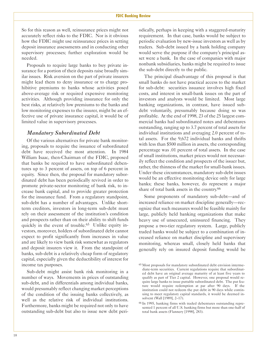So for this reason as well, reinsurance prices might not accurately reflect risks to the FDIC. Nor is it obvious how the FDIC might use reinsurance prices in setting deposit insurance assessments and in conducting other supervisory processes; further exploration would be needed.

Proposals to require large banks to buy private insurance for a portion of their deposits raise broadly similar issues. Risk aversion on the part of private insurers might lead them to deny insurance or to charge prohibitive premiums to banks whose activities posed above-average risk or required expensive monitoring activities. Although providing insurance for only the best risks, at relatively low premiums to the banks and low monitoring expenses to the insurer, might be an effective use of private insurance capital, it would be of limited value in supervisory processes.

#### *Mandatory Subordinated Debt*

Of the various alternatives for private bank monitoring, proposals to require the issuance of subordinated debt have received the most attention. In 1984 William Isaac, then-Chairman of the FDIC, proposed that banks be required to have subordinated debentures up to 3 percent of assets, on top of 6 percent in equity. Since then, the proposal for mandatory subordinated debt has been periodically revived in order to promote private-sector monitoring of bank risk, to increase bank capital, and to provide greater protection for the insurance fund. From a regulatory standpoint, sub-debt has a number of advantages. Unlike shortterm creditors, investors in long-term sub-debt must rely on their assessment of the institution's condition and prospects rather than on their ability to shift funds quickly in the event of trouble.65 Unlike equity investors, moreover, holders of subordinated debt cannot expect to profit significantly from increases in value and are likely to view bank risk somewhat as regulators and deposit insurers view it. From the standpoint of banks, sub-debt is a relatively cheap form of regulatory capital, especially given the deductibility of interest for income tax purposes.

Sub-debt might assist bank risk monitoring in a number of ways. Movements in prices of outstanding sub-debt, and in differentials among individual banks, would presumably reflect changing market perceptions of the condition of the issuing banks collectively, as well as the relative risk of individual institutions. Furthermore, banks might be required not only to have outstanding sub-debt but also to issue new debt peri-

odically, perhaps in keeping with a staggered-maturity requirement. In that case, banks would be subject to periodic evaluation by newissue investors as well as by traders. Sub-debt issued by a bank holding company would serve the purpose if the company's principal asset were a bank. In the case of companies with major nonbank subsidiaries, banks might be required to issue the sub-debt directly to the public.

The principal disadvantage of this proposal is that small banks do not have practical access to the market for sub-debt: securities issuance involves high fixed costs, and interest in small-bank issues on the part of investors and analysts would be limited. Most large banking organizations, in contrast, have issued subdebt voluntarily, presumably because doing so was profitable. At the end of 1998, 23 of the 25 largest commercial banks had subordinated notes and debentures outstanding, ranging up to 3.7 percent of total assets for individual institutions and averaging 2.0 percent of total assets. For the 9,672 individual banks and thrifts with less than \$500 million in assets, the corresponding percentage was .01 percent of total assets. In the case of small institutions, market prices would not necessarily reflect the condition and prospects of the issuer but, rather, the thinness of the market for small-bank issues. Under these circumstances, mandatory sub-debt issues would be an effective monitoring device only for large banks; these banks, however, do represent a major share of total bank assets in the country.<sup>66</sup>

Some proponents of mandatory sub-debt—and of increased reliance on market discipline generally-recognize that such measures would be feasible mainly for large, publicly held banking organizations that make heavy use of unsecured, uninsured financing. They propose a two-tier regulatory system. Large, publicly traded banks would be subject to a combination of increased reliance on market discipline and supervisory monitoring, whereas small, closely held banks that generally rely on insured deposit funding would be

<sup>65</sup> Most proposals for mandatory subordinated debt envision intermediate-term securities. Current regulations require that subordinated debt have an original average maturity of at least five years to qualify as part of Tier 2 capital. However, one proposal would require large banks to issue puttable subordinated debt. The put feature would require redemption at par after 90 days. If the institution could not redeem the put debt in 90 days while continuing to meet regulatory capital standards, it would be deemed insolvent (Wall [1989], 2-17).

<sup>66</sup> In 1995, banking firms with traded debentures outstanding represented 1 percent of all U.S. banking firms but more than one-half of total bank assets (Flannery [1998], 283).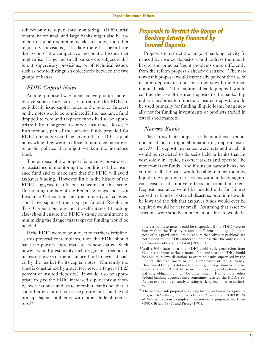subject only to supervisory monitoring. (Differential treatment for small and large banks might also be applied to capital requirements, closure rules, and other regulatory provisions.) To date there has been little discussion of the competitive and political issues that might arise if large and small banks were subject to different supervisory provisions, or of technical issues, such as how to distinguish objectively between the two groups of banks.

#### *FDIC Capital Notes*

Another proposed way to encourage prompt and effective supervisory action is to require the FDIC to periodically issue capital notes to the public. Interest on the notes would be terminated if the insurance fund dropped to zero and taxpayer funds had to be appropriated by Congress to meet insurance losses.67 Furthermore, part of the pension funds provided for FDIC directors would be invested in FDIC capital notes while they were in office, to reinforce incentives to avoid policies that might weaken the insurance fund.

The purpose of the proposal is to enlist private-sector assistance in monitoring the condition of the insurance fund and to make sure that the FDIC will avoid taxpayer funding. However, little in the history of the FDIC suggests insufficient concern on this score. Considering the fate of the Federal Savings and Loan Insurance Corporation and the intensity of congressional oversight of the taxpayer-funded Resolution Trust Corporation, bureaucratic self-interest (if nothing else) should ensure the FDIC's strong commitment to minimizing the danger that taxpayer funding would be needed.

If the FDIC were to be subject to market discipline, as this proposal contemplates, then the FDIC should have the powers appropriate to its new status. Such powers would presumably include greater freedom to increase the size of the insurance fund to levels dictated by the market for its capital notes. (Currently the fund is constrained by a statutory reserve target of 1.25 percent of insured deposits.) It would also be appropriate to give the FDIC increased supervisory authority over national and state member banks so that it could better control its risk exposure and could avoid principal/agent problems with other federal regulators.68

### **Proposals to Restrict the Range of Banking Activity Financed by Insured Deposits**

Proposals to restrict the range of banking activity financed by insured deposits would address the moralhazard and principal/agent problems quite differently from the reform proposals already discussed. The narrow-bank proposal would essentially prevent the use of insured deposits to fund investments with more than minimal risk. The traditional-bank proposal would confine the use of insured deposits to the banks' liquidity transformation function; insured deposits would be used primarily for funding illiquid loans, but generally not for funding investments or products traded in established markets.

#### *Narrow Banks*

The narrow-bank proposal calls for a drastic reduction in, if not outright elimination of, deposit insurance.69 If deposit insurance were retained at all, it would be restricted to deposits held in banks that invest solely in liquid, risk-free assets and operate like money-market funds. And if runs on narrow banks occurred at all, the bank would be able to meet them by liquidating a portion of its assets without delay, significant cost, or disruptive effects on capital markets. Deposit insurance would be needed only for failures caused by fraud or external disasters; premiums would be low; and the risk that taxpayer funds would ever be required would be very small. Assuming that asset restrictions were strictly enforced, moral hazard would be

<sup>67</sup> Interest on these notes would be suspended if the FDIC were to borrow from the Treasury to obtain sufficient liquidity. The purpose of this provision is "to make sure that solvency problems are not hidden by the FDIC under the pretense that the only issue is the liquidity of the fund" (Wall [1997], 21).

<sup>68</sup> Wall (1997) states that the FDIC could seek permission from Congress to increase the insurance fund and that the FDIC should be able, at its own discretion, to examine banks supervised by the Federal Reserve Board or the Comptroller of the Currency. However, if Congress did not heed the agency's petition to increase the fund, the FDIC's ability to maintain a strong market for its capital note obligations might be undermined. Furthermore, other federal banking agencies have sometimes resisted the FDIC's efforts to exercise its currently existing back-up examination authority.

<sup>69</sup> The narrow-bank proposal has a long history and numerous precursors, which Wallace (1996) traces back to Adam Smith's 1789 *Wealth* of Nations. Recent examples of narrow-bank proposals are Litan (1987), Bryan (1991), and Pierce (1991).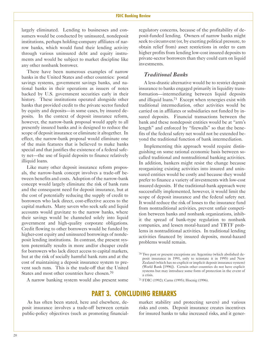largely eliminated. Lending to businesses and con-<br>regulatory concerns, because of the profitability of desumers would be conducted by uninsured, nondeposit posit-funded lending. Owners of narrow banks might institutions, perhaps holding-company affiliates of nar-seek to circumvent (or, by exerting political pressure, to row banks, which would fund their lending activity obtain relief from) asset restrictions in order to earn through various uninsured debt and equity instru-<br>ments and would be subject to market discipline like<br>private-sector borrowers than they could earn on liquid ments and would be subject to market discipline like private-sector private-sector borrowers than the private-sector private-sector private-sector borrowers. any other nonbank borrower.

There have been numerous examples of narrow *Traditional Banks* banks in the United States and other countries: postal *Traditional Banks* savings systems, government savings banks, and na-<br>A less-drastic alternative would be to restrict deposit tional banks in their operations as issuers of notes insurance to banks engaged primarily in liquidity transbacked by U.S. government securities early in their formation-intermediating between liquid deposits history. These institutions operated alongside other and illiquid loans.<sup>71</sup> Except when synergies exist with banks that provided credit to the private sector funded traditional intermediation, other activities would be by equity and deposits—in some cases, by insured de-carried on in affiliates or subsidiaries not funded by inposits. In the context of deposit insurance reform, sured deposits. Financial transactions between the however, the narrow-bank proposal would apply to all bank and these nondeposit entities would be at "arm's presently insured banks and is designed to reduce the length" and enforced by "firewalls" so that the benescope of deposit insurance or eliminate it altogether. In fits of the federal safety net would not be extended beeffect, the narrow-bank proposal would eliminate one yond the traditional function of bank intermediation.<br>
of the main features that is believed to make banks<br>
Incolarged the approach would require distinguish-

capital markets. Many savers who seek safe and liquid<br>accounts would gravitate to the narrow banks, where<br>their savings would be channeled solely into liquid<br>government and high-quality corporate obligations.<br>Credit flowin for borrowers who lack direct access to capital markets,<br>but at the risk of socially harmful bank runs and at the positinsurance in 1991, only to reinstate it in 1995) and New cost of maintaining a deposit insurance system to pre-<br>
vent such runs. This is the trade-off that the United (World Bank [1996]). Certain other countries do not have explicit vent such runs. This is the trade-off that the United (World Bank [1996]). Certain other countries do not have explicit systems but may introduce some form of protection in the event of States and most other countries have chosen.<sup>70</sup> a crisis.

A narrow banking system would also present some <sup>71</sup> FDIC (1992); Carns (1995); Hoenig (1996).

of the main features that is believed to make banks<br>special and that justifies the existence of a federal safe-<br>ty net—the use of liquid deposits to finance relatively<br>illiquid loans.<br>Illiquid loans.<br>Illiquid loans.<br>In add

## **PART 3. CONCLUDING REMARKS**

public-policy objectives (such as promoting financial for insured banks to take increased risks, and it gener-

As has often been stated, here and elsewhere, de-<br>market stability and protecting savers) and various posit insurance involves a trade-off between certain risks and costs. Deposit insurance creates incentives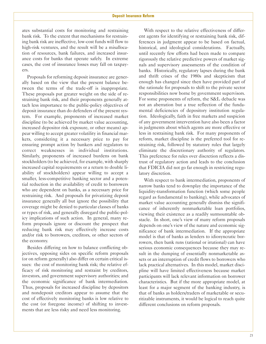ates substantial costs for monitoring and restraining bank risk. To the extent that mechanisms for restraining bank risk are ineffective, low-cost funds will flow to high-risk ventures, and the result will be a misallocation of resources, bank failures, and increased insurance costs for banks that operate safely. In extreme cases, the cost of insurance losses may fall on taxpayers.

Proposals for reforming deposit insurance are generally based on the view that the present balance between the terms of the trade-off is inappropriate. These proposals put greater weight on the side of restraining bank risk, and their proponents generally attach less importance to the public-policy objectives of deposit insurance than do defenders of the present system. For example, proponents of increased market discipline (to be achieved by market value accounting, increased depositor risk exposure, or other means) appear willing to accept greater volatility in financial markets, considering it a necessary price to pay for ensuring prompt action by bankers and regulators to correct weaknesses in individual institutions. Similarly, proponents of increased burdens on bank stockholders (to be achieved, for example, with sharply increased capital requirements or a return to double liability of stockholders) appear willing to accept a smaller, less-competitive banking sector and a potential reduction in the availability of credit to borrowers who are dependent on banks, as a necessary price for restraining risk. And proposals for privatizing deposit insurance generally all but ignore the possibility that coverage might be denied to particular classes of banks or types of risk, and generally disregard the public-policy implications of such action. In general, many reform proposals ignore or discount the prospect that reducing bank risk may effectively increase costs and/or risk to borrowers, creditors, or other sectors of the economy.

Besides differing on how to balance conflicting objectives, opposing sides on specific reform proposals (or on reform generally) also differ on certain critical issues: the cost of monitoring bank risk; the relative efficacy of risk monitoring and restraint by creditors, investors, and government supervisory authorities; and the economic significance of bank intermediation. Thus, proposals for increased discipline by depositors and nondeposit creditors appear to assume that the cost of effectively monitoring banks is low relative to the cost (or foregone income) of shifting to investments that are less risky and need less monitoring.

With respect to the relative effectiveness of different agents for identifying or restraining bank risk, differences in judgment appear to be based on factual, historical, and ideological considerations. Factually, until recently few efforts had been made to compare rigorously the relative predictive powers of market signals and supervisory assessments of the condition of banks. Historically, regulatory lapses during the bank and thrift crises of the 1980s and skepticism that enough has changed since then have provided part of the rationale for proposals to shift to the private sector responsibilities now borne by government supervisors. For some proponents of reform, the S&L debacle was not an aberration but a true reflection of the fundamental deficiencies of depository institution regulation. Ideologically, faith in free markets and suspicion of any government intervention have also been a factor in judgments about which agents are more effective or less in restraining bank risk. For many proponents of reform, market discipline is the preferred tool for restraining risk, followed by statutory rules that largely eliminate the discretionary authority of regulators. This preference for rules over discretion reflects a distrust of regulatory action and leads to the conclusion that FDICIA did not go far enough in restricting regulatory discretion.

With respect to bank intermediation, proponents of narrow banks tend to downplay the importance of the liquidity-transformation function (which some people) regard as fundamental to banking), while advocates of market value accounting generally dismiss the significance of inherently nonmarketable loan portfolios, viewing their existence as a readily surmountable obstacle. In short, one's view of many reform proposals depends on one's view of the nature and economic significance of bank intermediation. If the appropriate model is that of banks as lenders to idiosyncratic borrowers, then bank runs (rational or irrational) can have serious economic consequences because they may result in the dumping of essentially nonmarketable assets or an interruption of credit flows to borrowers who lack practical alternatives. In this model, market discipline will have limited effectiveness because market participants will lack relevant information on borrower characteristics. But if the more appropriate model, at least for a major segment of the banking industry, is that of banks as holders/traders of marketable or securitizable instruments, it would be logical to reach quite different conclusions on reform proposals.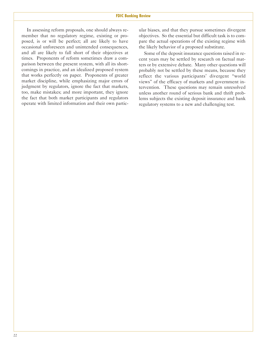In assessing reform proposals, one should always remember that no regulatory regime, existing or proposed, is or will be perfect; all are likely to have occasional unforeseen and unintended consequences, and all are likely to fall short of their objectives at times. Proponents of reform sometimes draw a comparison between the present system, with all its shortcomings in practice, and an idealized proposed system that works perfectly on paper. Proponents of greater market discipline, while emphasizing major errors of judgment by regulators, ignore the fact that markets, too, make mistakes; and more important, they ignore the fact that both market participants and regulators operate with limited information and their own particular biases, and that they pursue sometimes divergent objectives. So the essential but difficult task is to compare the actual operations of the existing regime with the likely behavior of a proposed substitute.

Some of the deposit insurance questions raised in recent years may be settled by research on factual matters or by extensive debate. Many other questions will probably not be settled by these means, because they reflect the various participants' divergent "world views" of the efficacy of markets and government intervention. These questions may remain unresolved unless another round of serious bank and thrift problems subjects the existing deposit insurance and bank regulatory systems to a new and challenging test.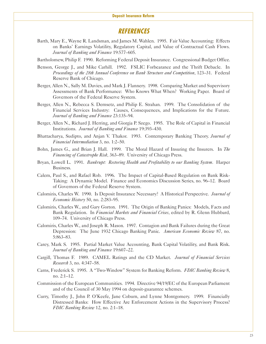### **REFERENCES**

Barth, Mary E., Wayne R. Landsman, and James M. Wahlen. 1995. Fair Value Accounting: Effects on Banks' Earnings Volatility, Regulatory Capital, and Value of Contractual Cash Flows. *Journal of Banking and Finance* 19:577-605.

Bartholomew, Philip F. 1990. Reforming Federal Deposit Insurance. Congressional Budget Office.

- Benson, George J., and Mike Carhill. 1992. FSLIC Forbearance and the Thrift Debacle. In *Proceedings of the 28th Annual Conference on Bank Structure and Competition*, 123-31. Federal Reserve Bank of Chicago.
- Berger, Allen N., Sally M. Davies, and Mark J. Flannery. 1998. Comparing Market and Supervisory Assessments of Bank Performance: Who Knows What When? Working Paper. Board of Governors of the Federal Reserve System.
- Berger, Allen N., Rebecca S. Demsetz, and Philip E. Strahan. 1999. The Consolidation of the Financial Services Industry: Causes, Consequences, and Implications for the Future. *Journal of Banking and Finance* 23:135-94.
- Berger, Allen N., Richard J. Herring, and Giorgia P. Szego. 1995. The Role of Capital in Financial Institutions. *Journal of Banking and Finance* 19:393-430.
- Bhattacharya, Sudipto, and Anjan V. Thakor. 1993. Contemporary Banking Theory. *Journal of Financial Intermediation* 3, no. 1:2-50.
- Bohn, James G., and Brian J. Hall. 1999. The Moral Hazard of Insuring the Insurers. In *The Financing of Catastrophe Risk*, 363-89. University of Chicago Press.
- Bryan, Lowell L. 1991. *Bankrupt: Restoring Health and Profitability to our Banking System*. Harper Business.
- Calem, Paul S., and Rafael Rob. 1996. The Impact of Capital-Based Regulation on Bank Risk-Taking: A Dynamic Model. Finance and Economics Discussion Series, no. 96-12. Board of Governors of the Federal Reserve System.
- Calomiris, Charles W. 1990. Is Deposit Insurance Necessary? A Historical Perspective. *Journal of Economic History* 50, no. 2:283-95.
- Calomiris, Charles W., and Gary Gorton. 1991. The Origin of Banking Panics: Models, Facts and Bank Regulation. In *Financial Markets and Financial Crises*, edited by R. Glenn Hubbard, 109-74. University of Chicago Press.
- Calomiris, Charles W., and Joseph R. Mason. 1997. Contagion and Bank Failures during the Great Depression: The June 1932 Chicago Banking Panic. *American Economic Reviee* 87, no. 5:863-83.
- Carey, Mark S. 1995. Partial Market Value Accounting, Bank Capital Volatility, and Bank Risk. *Journal of Banking and Finance* 19:607-22.
- Cargill, Thomas F. 1989. CAMEL Ratings and the CD Market. *Journal of Financial Services Research* 3, no. 4:347-58.
- Carns, Frederick S. 1995. A "Two-Window" System for Banking Reform. *FDIC Banking Review* 8, no. 2:1-12.
- Commission of the European Communities. 1994. Directive 94/19/EC of the European Parliament and of the Council of 30 May 1994 on deposit-guarantee schemes.
- Curry, Timothy J., John P. O'Keefe, Jane Coburn, and Lynne Montgomery. 1999. Financially Distressed Banks: How Effective Are Enforcement Actions in the Supervisory Process? *FDIC Banking Reviee* 12, no. 2:1-18.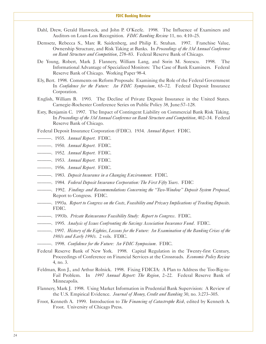- Dahl, Drew, Gerald Hanweck, and John P. O'Keefe. 1998. The Influence of Examiners and Auditors on Loan-Loss Recognition. *FDIC Banking Review* 11, no. 4:10–25.
- Demsetz, Rebecca S., Marc R. Saidenberg, and Philip E. Strahan. 1997. Franchise Value, Ownership Structure, and Risk Taking at Banks. In *Proceedings of the 33d Annual Conference on Bank Structure and Competition*, 278-83. Federal Reserve Bank of Chicago.
- De Young, Robert, Mark J. Flannery, William Lang, and Sorin M. Sorescu. 1998. The Informational Advantage of Specialized Monitors: The Case of Bank Examiners. Federal Reserve Bank of Chicago. Working Paper 98-4.
- Ely, Bert. 1998. Comments on Reform Proposals: Examining the Role of the Federal Government In *Confidence for the Future: An FDIC Symposium*, 65-72. Federal Deposit Insurance Corporation.
- English, William B. 1993. The Decline of Private Deposit Insurance in the United States. Carnegie-Rochester Conference Series on Public Policy 38, June: 57–128.
- Esty, Benjamin C. 1997. The Impact of Contingent Liability on Commercial Bank Risk Taking. In *Proceedings of the 33d Annual Conference on Bank Structure and Competition*, 402-34. Federal Reserve Bank of Chicago.
- Federal Deposit Insurance Corporation (FDIC). 1934. *Annual Report*. FDIC.
- ---. 1935. *Annual Report*. FDIC.
- ---. 1950. *Annual Report*. FDIC.
- ---. 1952. *Annual Report*. FDIC.
- -- 1953. *Annual Report.* FDIC.
- ---. 1956. *Annual Report*. FDIC.
- ---. 1983. *Deposit Insurance in a Changing Environment*. FDIC.
- ---. 1984. *Federal Deposit Insurance Corporation: The First Fifty Years*. FDIC
- ---. 1992. *Findings and Recommendations Concerning the "TeolWindoe" Deposit System Proposal,* Report to Congress. FDIC.
- ---. 1993a. *Report to Congress on the Costs, Feasibility and Privacy Implications of Tracking Deposits*. FDIC.
- ---. 1993b. *Private Reinsurance Feasibility Study: Report to Congress*. FDIC.
- ---. 1995. *Analysis of Issues Confronting the Savings Association Insurance Fund*. FDIC.
- ---. 1997. *History of the Eighties, Lessons for the Future: An Examination of the Banking Crises of the* 1980s and Early 1990s. 2 vols. FDIC.
	- ---. 1998. *Confidence for the Future: An FDIC Symposium*. FDIC.
- Federal Reserve Bank of New York. 1998. Capital Regulation in the Twenty-first Century, Proceedings of Conference on Financial Services at the Crossroads. *Economic Policy Reviee* 4, no. 3.
- Feldman, Ron J., and Arthur Rolnick. 1998. Fixing FDICIA: A Plan to Address the Too-Big-to-Fail Problem. In *1997 Annual Report: The Region*, 2-22. Federal Reserve Bank of Minneapolis.
- Flannery, Mark J. 1998. Using Market Information in Prudential Bank Supervision: A Review of the U.S. Empirical Evidence. *Journal of Money, Credit and Banking* 30, no. 3:273-305.
- Froot, Kenneth A. 1999. Introduction to *The Financing of Catastrophe Risk*, edited by Kenneth A. Froot. University of Chicago Press.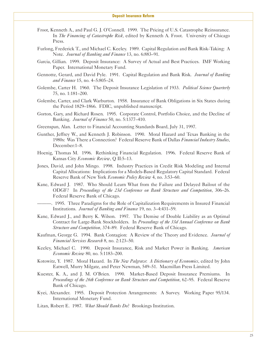- Froot, Kenneth A., and Paul G. J. O'Connell. 1999. The Pricing of U.S. Catastrophe Reinsurance. In *The Financing of Catastrophe Risk*, edited by Kenneth A. Froot. University of Chicago Press.
- Furlong, Frederick T., and Michael C. Keeley. 1989. Capital Regulation and Bank Risk-Taking: A Note. *Journal of Banking and Finance* 13, no. 6:883-91.
- Garcia, Gillian. 1999. Deposit Insurance: A Survey of Actual and Best Practices. IMF Working Paper. International Monetary Fund.
- Gennotte, Gerard, and David Pyle. 1991. Capital Regulation and Bank Risk. *Journal of Banking and Finance* 15, no. 4-5:805-24.
- Golembe, Carter H. 1960. The Deposit Insurance Legislation of 1933. *Political Science Quarterly* 75, no. 1:181-200.
- Golembe, Carter, and Clark Warburton. 1958. Insurance of Bank Obligations in Six States during the Period 1829-1866. FDIC, unpublished manuscript.
- Gorton, Gary, and Richard Rosen. 1995. Corporate Control, Portfolio Choice, and the Decline of Banking. *Journal of Finance* 50, no. 5:1377-410.
- Greenspan, Alan. Letter to Financial Accounting Standards Board, July 31, 1997.
- Gunther, Jeffrey W., and Kenneth J. Robinson. 1990. Moral Hazard and Texas Banking in the 1980s: Was There a Connection? Federal Reserve Bank of Dallas *Financial Industry Studies*, December:1-8.
- Hoenig, Thomas M. 1996. Rethinking Financial Regulation. 1996. Federal Reserve Bank of Kansas City *Economic Reviee*, Q II:5-13.
- Jones, David, and John Mingo. 1998. Industry Practices in Credit Risk Modeling and Internal Capital Allocations: Implications for a Models-Based Regulatory Capital Standard. Federal Reserve Bank of New York *Economic Policy Reviee* 4, no. 3:53-60.
- Kane, Edward J. 1987. Who Should Learn What from the Failure and Delayed Bailout of the ODGF? In *Proceedings of the 23d Conference on Bank Structure and Competition*, 306-26. Federal Reserve Bank of Chicago.
	- ---. 1995. Three Paradigms for the Role of Capitalization Requirements in Insured Financial Institutions. *Journal of Banking and Finance* 19, no. 3-4:431-59.
- Kane, Edward J., and Berry K. Wilson. 1997. The Demise of Double Liability as an Optimal Contract for Large-Bank Stockholders. In *Proceedings of the 33d Annual Conference on Bank Structure and Competition*, 374-89. Federal Reserve Bank of Chicago.
- Kaufman, George G. 1994. Bank Contagion: A Review of the Theory and Evidence. *Journal of Financial Services Research* 8, no. 2:123-50.
- Keeley, Michael C. 1990. Deposit Insurance, Risk and Market Power in Banking. *American Economic Reviee* 80, no. 5:1183-200.
- Kotowitz, Y. 1987. Moral Hazard. In *The Nee Palgrave*: *A Dictionary of Economics*, edited by John Eatwell, Murry Milgate, and Peter Newman, 549-51. Macmillan Press Limited.
- Kuester, K. A., and J. M. O'Brien. 1990. Market-Based Deposit Insurance Premiums. In *Proceedings of the 26th Conference on Bank Structure and Competition*, 62-95. Federal Reserve Bank of Chicago.
- Kyei, Alexander. 1995. Deposit Protection Arrangements: A Survey. Working Paper 95/134. International Monetary Fund.
- Litan, Robert E. 1987. *What Should Banks Do*? Brookings Institution.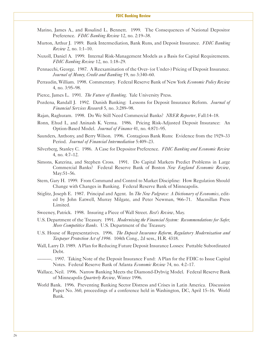- Marino, James A., and Rosalind L. Bennett. 1999. The Consequences of National Depositor Preference. *FDIC Banking Reviee* 12, no. 2:19-38.
- Murton, Arthur J. 1989. Bank Intermediation, Bank Runs, and Deposit Insurance. *FDIC Banking Reviee* 2, no. 1:1-10.
- Nuxoll, Daniel A. 1999. Internal Risk-Management Models as a Basis for Capital Requirements. *FDIC Banking Reviee* 12, no. 1:18-29.
- Pennacchi, George. 1987. A Reexamination of the Over- (or Under-) Pricing of Deposit Insurance. *Journal of Money, Credit and Banking* 19, no 3:340-60.
- Perraudin, William. 1998. Commentary. Federal Reserve Bank of New York *Economic Policy Reviee* 4, no. 3:95-98.
- Pierce, James L. 1991. *The Future of Banking*. Yale University Press.
- Pozdena, Randall J. 1992. Danish Banking: Lessons for Deposit Insurance Reform. *Journal of Financial Services Research* 5, no. 3:289-98.
- Rajan, Raghuram. 1998. Do We Still Need Commercial Banks? *NBER Reporter*, Fall:14-18.
- Ronn, Ehud I., and Aninash K. Verma. 1986. Pricing Risk-Adjusted Deposit Insurance: An Option-Based Model. *Journal of Finance* 41, no. 4:871-95.
- Saunders, Anthony, and Berry Wilson. 1996. Contagious Bank Runs: Evidence from the 1929-33 Period. *Journal of Financial Intermediation* 5:409-23.
- Silverberg, Stanley C. 1986. A Case for Depositor Preference. *FDIC Banking and Economic Reviee* 4, no. 4:7-12.
- Simons, Katerina, and Stephen Cross. 1991. Do Capital Markets Predict Problems in Large Commercial Banks? Federal Reserve Bank of Boston *New England Economic Review*, May:51-56.
- Stern, Gary H. 1999. From Command and Control to Market Discipline: How Regulation Should Change with Changes in Banking. Federal Reserve Bank of Minneapolis.
- Stiglitz, Joseph E. 1987. Principal and Agent. In *The Nee Palgrave: A Dictionary of Economics*, edited by John Eatwell, Murray Milgate, and Peter Newman, 966-71. Macmillan Press Limited.
- Sweeney, Patrick. 1998. Insuring a Piece of Wall Street. *Best's Reviee*, May.
- U.S. Department of the Treasury. 1991. *Modernizing the Financial System: Recommendations for Safer, More Competitive Banks.* U.S. Department of the Treasury.
- U.S. House of Representatives. 1996. *The Deposit Insurance Reform, Regulatory Modernization and* Taxpayer Protection Act of 1996. 104th Cong., 2d sess., H.R. 4318.
- Wall, Larry D. 1989. A Plan for Reducing Future Deposit Insurance Losses: Puttable Subordinated Debt.
	- ---. 1997. Taking Note of the Deposit Insurance Fund: A Plan for the FDIC to Issue Capital Notes. Federal Reserve Bank of Atlanta *Economic Reviee* 74, no. 4:2-17.
- Wallace, Neil. 1996. Narrow Banking Meets the Diamond-Dybvig Model. Federal Reserve Bank of Minneapolis *Quarterly Reviee*, Winter 1996.
- World Bank. 1996. Preventing Banking Sector Distress and Crises in Latin America. Discussion Paper No. 360, proceedings of a conference held in Washington, DC, April 15-16. World Bank.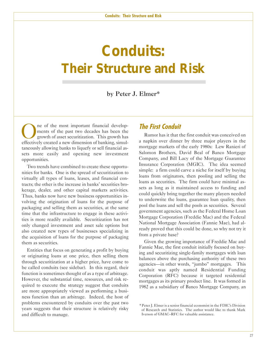## <span id="page-28-0"></span>**Conduits: Their Structure and Risk**

by Peter J. Elmer\*

The First Conduit<br>
ments of the past two decades has been the<br>
growth of asset securitization. This growth has<br>
effectively created a new dimension of banking, simularly a napkin over dinner by three major players in the effectively created a new dimension of banking, simulation and particle in the taneously allowing banks to liquefy or sell financial as-<br>sets more easily and opening new investment Salomon Brothers, David Beal of Banco Mor sets more easily and opening new investment

Two trends have combined to create these opportume insurance Corporation (MGIC). The idea seemed<br>nities for banks. One is the spread of securitization to<br>simple: a firm could carve a niche for itself by buying<br>virtually al

Entities that focus on generating a profit by buying<br>or originating loans at one price, then selling them<br>through securitization at a higher price, have come to<br>be called conduits (see sidebar). In this regard, their<br>funct ness function than an arbitrage. Indeed, the host of problems encountered by conduits over the past two<br>
years suggests that their structure is relatively risky<br>
of Research and Statistics. The author would like to thank Mark and difficult to manage.  $I_{\text{V}}$  is a set of GMAC-RFC for valuable assistance.

opportunities.<br>
Company, and Bill Lacy of the Mortgage Guarantee<br>
Insurance Corporation (MGIC). The idea seemed

them as securities.<br>
Fannie Mac, the first conduit initially focused on buy-<br>
Fannie Mac, the first conduit initially focused on buy-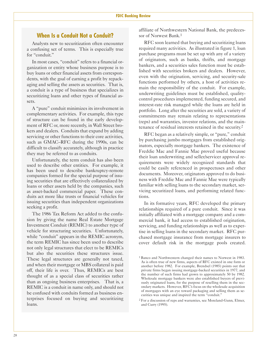#### **When Is a Conduit Not a Conduit?**

Analysts new to securitization often encounter a confusing set of terms. This is especially true for "conduit."

In most cases, "conduit" refers to a financial organization or entity whose business purpose is to buy loans or other financial assets from correspondents, with the goal of earning a profit by repackaging and selling the assets as securities. That is, a conduit is a type of business that specializes in securitizing loans and other types of financial assets.

A "pure" conduit minimizes its involvement in complementary activities. For example, this type of structure can be found in the early development of RFC or, more recently, in Wall Street brokers and dealers. Conduits that expand by adding servicing or other functions to their core activities, such as GMAC-RFC during the 1990s, can be difficult to classify accurately, although in practice they may be referred to as conduits.

Unfortunately, the term conduit has also been used to describe other entities. For example, it has been used to describe bankruptcy-remote companies formed for the special purpose of issuing securities that are effectively collateralized by loans or other assets held by the companies, such as asset-backed commercial paper. These conduits act more like trusts or financial vehicles for issuing securities than independent organizations seeking a profit.

The 1986 Tax Reform Act added to the confusion by giving the name Real Estate Mortgage Investment Conduit (REMIC) to another type of vehicle for structuring securities. Unfortunately, while "conduit" appears in the REMIC acronym, the term REMIC has since been used to describe not only legal structures that elect to be REMICs but also the securities these structures issue. These legal structures are generally not taxed, and when their mortgage or MBS collateral is paid off, their life is over. Thus, REMICs are best thought of as a special class of securities rather than as ongoing business enterprises. That is, a REMIC is a conduit in name only, and should not be confused with conduits formed as business enterprises focused on buying and securitizing loans.

affiliate of Northwestern National Bank, the predecessor of Norwest Bank.1

RFC soon learned that buying and securitizing loans required many activities. As illustrated in figure 1, loan purchase programs must be set up with any of a variety of originators, such as banks, thrifts, and mortgage bankers, and a securities sales function must be established with securities brokers and dealers. However, even with the origination, servicing, and security-sale functions performed by others, a host of activities remain the responsibility of the conduit. For example, underwriting guidelines must be established, qualitycontrol procedures implemented, funding secured, and interest-rate risk managed while the loans are held in portfolio. Long after the securities are sold, a variety of commitments may remain relating to representations (reps) and warranties, investor relations, and the maintenance of residual interests retained in the security.2

RFC began as a relatively simple, or "pure," conduit by purchasing jumbo mortgages from established originators, especially mortgage bankers. The existence of Freddie Mac and Fannie Mae proved useful because their loan underwriting and seller/servicer approval requirements were widely recognized standards that could be easily referenced in prospectuses and other documents. Moreover, originators approved to do business with Freddie Mac and Fannie Mae were typically familiar with selling loans to the secondary market, servicing securitized loans, and performing related functions.

In its formative years, RFC developed the primary relationships required of a pure conduit. Since it was initially affiliated with a mortgage company and a commercial bank, it had access to established origination, servicing, and funding relationships as well as to expertise in selling loans in the secondary market. RFC purchased mortgage insurance from mortgage insurers to cover default risk in the mortgage pools created.

<sup>1</sup> Banco and Northwestern changed their names to Norwest in 1983. As is often true of new firms, aspects of RFC existed in one form or another before 1982. For example, Brendsel (1985) points out that private firms began issuing mortgage-backed securities in 1977, and the number of such firms had grown to approximately 50 by 1982. Wholesale mortgage bankers were also established buyers of previously originated loans, for the purpose of reselling them in the secondary markets. However, RFC's focus on the wholesale acquisition of mortgages with an eye toward packaging and selling them as securities was unique and inspired the term "conduit."

<sup>&</sup>lt;sup>2</sup> For a discussion of reps and warranties, see Moreland-Gunn, Elmer, and Curry (1995).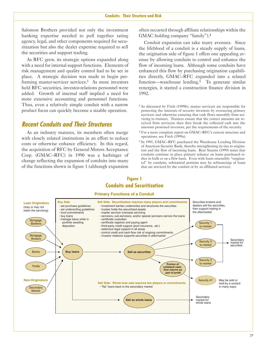Salomon Brothers provided not only the investment often occurred through affiliate relationships within the banking expertise needed to pull together rating GMAC holding company "family").4 agency, legal, and other components required for secu-<br>
itization but also the dealer expertise required to sell<br>
the lifeblood of a conduit is a steady supply of loans,<br>
the origination side of figure 1 offers one anneali

risk management and quality control had to be set in enhanced this flow by purchasing origination capabiliadded. Growth of internal staff implied a need for 1992. more extensive accounting and personnel functions. Thus, even a relatively simple conduit with a narrow 3 As discussed by Fitch (1999b), master servicers are responsible for product focus can quickly become a sizable operation. protecting the interests of security investors by overseeing primary

with closely related institutions in an effort to reduce<br>costs or otherwise enhance efficiency. In this regard,<br>the acquisition of RFC by General Motors Acceptance<br>tors and the flow of incoming loans. Bear Stearns (1999) n of the functions shown in figure 1 (although expansion that are serviced by the conduit or by an affiliated servicer.

the origination side of figure 1 offers one appealing av-As RFC grew, its strategic options expanded along enue by allowing conduits to control and enhance the with a need for internal support functions. Elements of flow of incoming loans. Although some conduits have place. A strategic decision was made to begin per-<br>ties directly, GMAC-RFC expanded into a related forming master-servicer services.<sup>3</sup> As more investors function—warehouse lending.<sup>5</sup> To generate similar held RFC securities, investor-relations personnel were synergies, it started a construction finance division in

- servicers and otherwise ensuring that cash flows smoothly from servicing to trustees. Trustees ensure that the correct amounts are re-**Recent Conduits and Their Structures** entries amounts promised investors, per the requirements of the security.
	- As an industry matures, its members often merge  $4$  For a more complete report on GMAC-RFC's current structure and operations, see Fitch (1999a).
- Corp. (GMAC-RFC) in 1990 was a harbinger of conduits continue to place primary reliance on loans purchased ei-<br>ther in bulk or on a flow basis. Even with loans ostensibly "originatchange reflecting the expansion of conduits into many ther in bulk or on a flow basis. Even with loans ostensibly originate-<br>ed" by conduits, substantial portions may be refinancings of loans



**Figure 1**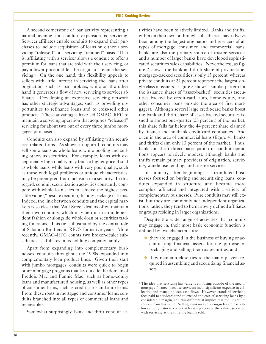A second cornerstone of loan activity representing a natural avenue for conduit expansion is servicing. Servicer affiliates enable conduits to expand their purchases to include acquisition of loans on either a servicing "released" or a servicing "retained" basis. That is, affiliating with a servicer allows a conduit to offer a premium for loans that are sold with their servicing, or pay a lower price and let the originator retain the servicing.6 On the one hand, this flexibility appeals to sellers with little interest in servicing the loans after origination, such as loan brokers, while on the other hand it generates a flow of new servicing to servicer affiliates. Developing an extensive servicing network has other strategic advantages, such as providing opportunities to refinance loans and to cross-sell other products. These advantages have led GMAC-RFC to maintain a servicing operation that acquires "released" servicing for about two out of every three jumbo mortgages purchased.

Conduits can also expand by affiliating with securities-related firms. As shown in figure 1, conduits may sell some loans as whole loans while pooling and selling others as securities. For example, loans with exceptionally high quality may fetch a higher price if sold as whole loans, while loans with very poor quality, such as those with legal problems or unique characteristics, may be preempted from inclusion in a security. In this regard, conduit securitization activities constantly compete with whole-loan sales to achieve the highest possible value ("best" execution) for any package of loans. Indeed, the link between conduits and the capital markets is so close that Wall Street dealers often maintain their own conduits, which may be run in an independent fashion or alongside whole-loan or securities trading functions. This tie is illustrated by the central role of Salomon Brothers in RFC's formative years. More recently, GMAC-RFC counts two broker-dealer subsidiaries as affiliates in its holding company family.

Apart from expanding into complementary businesses, conduits throughout the 1990s expanded into complementary loan product lines. Given their start with jumbo mortgages, conduits were quick to begin other mortgage programs that lay outside the domain of Freddie Mac and Fannie Mae, such as home-equity loans and manufactured housing, as well as other types of consumer loans, such as credit cards and auto loans. From these roots in mortgage and consumer loans, conduits branched into all types of commercial loans and receivables.

Somewhat surprisingly, bank and thrift conduit ac-

tivities have been relatively limited. Banks and thrifts, either on their own or through subsidiaries, have always been among the largest originators and servicers of all types of mortgage, consumer, and commercial loans; banks are also the primary source of trustee services; and a number of larger banks have developed sophisticated securities sales capabilities. Nevertheless, as figure 2 shows, the bank and thrift share of private-label mortgage-backed securities is only 15 percent, whereas private conduits at 24 percent represent the largest single class of issuers. Figure 3 shows a similar pattern for the issuance shares of "asset-backed" securities (securities backed by credit-card, auto, home-equity, and other consumer loans outside the area of first mortgages). Although several large credit-card banks boost the bank and thrift share of asset-backed securities issued to almost one-quarter (23 percent) of the market, this share falls far below the 44 percent share claimed by finance and nonbank credit-card companies. And even in the area of commercial loans (figure 4), banks and thrifts claim only 13 percent of the market. Thus, bank and thrift direct participation in conduit operations appears relatively modest, although banks and thrifts remain primary providers of origination, servicing, warehouse lending, and trustee services.

In summary, after beginning as streamlined businesses focused on buying and securitizing loans, conduits expanded in structure and became more complex, affiliated and integrated with a variety of complementary businesses. Pure conduits may still exist, but they are commonly not independent organizations; rather, they tend to be narrowly defined affiliates or groups residing in larger organizations.

Despite the wide range of activities that conduits may engage in, their most basic economic function is defined by two characteristics:

- � they are engaged in the business of buying or accumulating financial assets for the purpose of packaging and selling them as securities, and
- � they maintain close ties to the many players required in assembling and securitizing financial assets.

<sup>6</sup> The idea that servicing has value is confusing outside of the area of mortgage finance, because servicers incur significant expense in collecting and managing loan cash flows. However, standard servicing fees paid to servicers tend to exceed the cost of servicing loans by a considerable margin, and this differential implies that the "right" to service loans has value. Selling loans on a servicing-released basis allows an originator to collect at least a portion of the value associated with servicing at the time the loan is sold.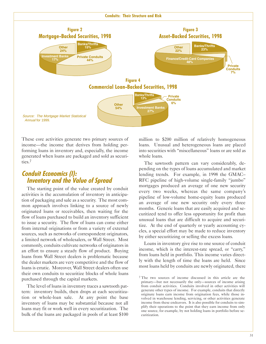

income—the income that derives from holding per-<br>loans. Unusual and heterogeneous loans are placed forming loans in inventory and, especially, the income into securities with "miscellaneous" loans or are sold as generated when loans are packaged and sold as securi-<br>whole loans. ties.7 The sawtooth pattern can vary considerably, de-

**Inventory and the Value of Spread**<br>
The starting point of the value created by conduit<br>
every two weeks, whereas the same company's<br>
tartivities is the accumulation of inventory in anticipa-<br>
too of packaging and sale as their own conduits to securitize blocks of whole loans

tern: inventory builds, then drops at each securitiza-<br>tion or whole-loan sale. At any point the base<br>volved in warehouse lending, servicing, or other activities generate inventory of loans may be substantial because not all income from these endeavors. It is also possible for conduits to sim-<br>leave may fit on work well in avery equipmention. The plify their operations to the point that the loans may fit or work well in every securitization. The pury their operations to the point that they earn income from only bulk of the loans are packaged in pools of at least \$100 curitization.

These core activities generate two primary sources of million to \$200 million of relatively homogeneous

pending on the types of loans accumulated and market **Conduit Economics (I):**<br> **Conduit Economics (I):**<br> **Conduit Economics (I):**<br> **Conduit Economics (I):**<br>
RFC pipeline of high-volume single-family "jumbo"<br>
RFC pipeline of high-volume single-family "jumbo"

purchased through the capital markets.<br>The two sources of income discussed in this article are the primary-but not necessarily the only-sources of income arising<br>The level of loans in inventory traces a sawtooth pat-<br>from The level of loans in inventory traces a sawtooth pat-<br>trom conduit activities. Conduits involved in other activities will<br>generate other types of income. For example, conduits that directly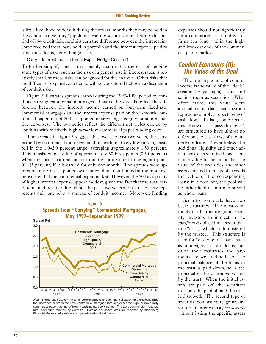is little likelihood of default during the several months they may be held in the conduit's inventory "pipeline" awaiting securitization. During this period of low credit risk, conduits earn the difference between the interest income received from loans held in portfolio and the interest expense paid to fund those loans, net of hedge costs.

Carry = Interest Inc. – Interest Exp. – Hedge Cost (1)

To further simplify, one can reasonably assume that the cost of hedging some types of risks, such as the risk of a general rise in interest rates, is relatively small, so these risks can be ignored for this analysis. Other risks that are difficult or expensive to hedge will be considered below in a discussion of conduit risks.

Figure 5 illustrates spreads earned during the 1997-1999 period by conduits carrying commercial mortgages. That is, the spreads reflect the difference between the interest income earned on long-term fixed-rate commercial mortgages and the interest expense paid on three-month commercial paper, net of 20 basis points for servicing, hedging, or administrative expenses. The two series reflect the different net yields earned by conduits with relatively high *versus* low commercial paper funding costs.

The spreads in figure 5 suggest that over the past two years, the carry earned by commercial mortgage conduits with relatively low funding costs fell in the 1.0-2.0 percent range, averaging approximately 1.50 percent. This translates to a value of approximately 50 basis points (0.50 percent) when the loan is carried for four months, or a value of one-eighth point (0.125 percent) if it is carried for only one month. The spreads were approximately 50 basis points lower for conduits that funded at the more expensive end of the commercial paper market. However, the 50 basis points of higher interest expense appear modest, given the fact that the total carry remained positive throughout the past two years and that the carry represents only one of two sources of conduit income. Moreover, funding



*Note:* The spread between the commercial mortgage and commercial paper rates is calculated as the difference between the Levy commercial mortgage rate and either the high- or low-quality commercial paper rate, net of twenty basis points servicing fee. The Levy commercial mortgage rate is reported monthly by *Barron's*. Commercial paper rates are reported by Bloomberg Financial Markets. All yields are computed on a bond yield basis.

expenses should not significantly limit competition, as hundreds of firms can fund within the highand low-cost ends of the commercial paper market.

## **Conduit Economics (II): The Value of the Deal**

The primary source of conduit income is the value of the "deals" created by packaging loans and selling them as securities. What often makes this value seem anomalous is that securitization represents simply a repackaging of cash flows. In fact, some securities, known as "pass-throughs," are structured to have almost no effect on the cash flows of the underlying loans. Nevertheless, the additional liquidity and other advantages of securitized pools enhance value to the point that the value of the securities and other assets created from a pool exceeds the value of the corresponding loans; if it does not, the pool will be either held in portfolio or sold as whole loans.

Securitization deals have two basic structures. The most commonly used structure grants security investors an interest in the *specific assets* placed in a securitization "trust," which is administered by the trustee. This structure is used for "closed-end" loans, such as mortgages or auto loans, because their maturates and payments are well defined. As the principal balance of the loans in the trust is paid down, so is the principal of the securities created by the trust. When the initial assets are paid off, the securities must also be paid off and the trust is dissolved. The second type of securitization structure grants investors an interest in a *pool of assets* without listing the specific assets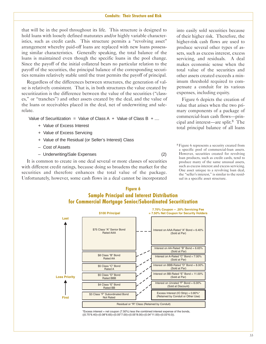that will be in the pool throughout its life. This structure is designed to into easily sold securities because hold loans with loosely defined maturates and/or highly variable character- of their higher risk. Therefore, the istics, such as credit cards. This structure permits a "revolving asset" higher-risk cash flows are used to arrangement whereby paid-off loans are replaced with new loans possess-<br>produce several other types of asing similar characteristics. Generally speaking, the total balance of the sets, such as excess interest, excess loans is maintained even though the specific loans in the pool change. servicing, and residuals. A deal Since the payoff of the initial collateral bears no particular relation to the makes economic sense when the payoff of the securities, the principal balance of the corresponding securi-<br>total value of the securities and ties remains relatively stable until the trust permits the payoff of principal. other assets created exceeds a min-

Regardless of the differences between structures, the generation of val-<br>is relatively consistent. That is in both structures the value created by<br>pensate a conduit for its various ue is relatively consistent. That is, in both structures the value created by securitization is the difference between the value of the securities ("class-expenses, including equity. es," or "tranches") and other assets created by the deal, and the value of Figure 6 depicts the creation of the loans or receivables placed in the deal, net of underwriting and sale-value that arises when the two prirelate. The mary components of a package of relationship in the mary components of a package of

Value of Securitization = Value of Class A + Value of Class B + .... commercial-loan cash flows---prin-

- 
- + Value of Excess Servicing
- + Value of the Residual (or Seller's Interest) Class
- 
- 

It is common to create in one deal several or more classes of securities produce many of the same unusual assets, with different credit ratings, because doing so broadens the market for the such as excess interest and excess servicing.<br>One asset unique to a revolving loan deal, securities and therefore enhances the total value of the package. The "seller's interest," is similar to the resid-Unfortunately, however, some cash flows in a deal cannot be incorporated ual in a specific asset structure.

cipal and interest-are split.8 The + Value of Excess Interest total principal balance of all loans

**8** Figure 6 represents a security created from  $\frac{8 \text{ Figure 6 represents a security created from}}{8 \text{ specified pool of commercial-load assets.}}$ – Underwriting/Sale Expenses (2) However, securities created for revolving

#### **Figure 6 Sample Principal and Interest Distribution for Commercial Mortgage Senior/Subordinated Securitization**



\*Excess interest  $=$  net coupon  $(7.50%)$  less the combined interest expense of the bonds,  $((0.75<sup>*</sup>6.40)+(0.08<sup>*</sup>6.65)+(0.05<sup>*</sup>7.00)+(0.05<sup>*</sup>8.00)+(0.04<sup>*</sup>11.00)+(0.03<sup>*</sup>6.0))$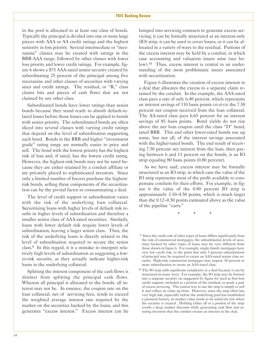#### **FDIC Banking Review**

in the pool is allocated to at least one class of bonds. Typically the principal is divided into one or more large pieces with AAA or AA credit ratings and the highest seniority in loss priority. Several intermediate or "mezzanine" classes may be created with ratings in the BBBAAA range, followed by other classes with lower loss priority and lower credit ratings. For example, figure 6 shows a \$75 AAArated senior security created by subordinating 25 percent of the principal among five mezzanine and other classes of securities with varying sizes and credit ratings. The residual, or "R," class claims bits and pieces of cash flows that are not claimed by any other class.

Subordinated bonds have lower ratings than senior bonds because they stand ready to absorb default-related losses before those losses can be applied to bonds with senior priority. The subordinated bonds are often sliced into several classes with varying credit ratings that depend on the level of subordination supporting each bond. Bonds in the BBB and higher "investment grade" rating range are normally easier to price and sell. The bond with the lowest priority has the highest risk of loss and, if rated, has the lowest credit rating. However, the highest-risk bonds may not be rated because they are either retained by a conduit affiliate or are privately placed to sophisticated investors. Since only a limited number of buyers purchase the highestrisk bonds, selling these components of the securitization can be the pivotal factor in consummating a deal.

The level of credit support or subordination varies with the risk of the underlying loan collateral. Securitizing loans with higher levels of default risk results in higher levels of subordination and therefore a smaller senior class of AAA-rated securities. Similarly, loans with lower default risk require lower levels of subordination, leaving a larger senior class. Thus, the risk of the underlying loans is directly related to the level of subordination required to secure the senior class.9 In this regard, it is a mistake to interpret relatively high levels of subordination as suggesting a lower-risk security, as they actually indicate higher-risk loans in the underlying collateral.

Splitting the interest component of the cash flows is distinct from splitting the principal cash flows. Whereas all principal is allocated to the bonds, all interest may not be. In essence, the coupon rate on the loan collateral, net of servicing fees, tends to exceed the weighted average interest rate required by the market on the securities backed by the loans, and this generates "excess interest." Excess interest can be

lumped into servicing contracts to generate excess servicing; it can be formally structured as an interest-only (IO) strip; it can be used to cover losses; or it can be allocated in a variety of ways to the residual. Portions of the excess interest may be held by a conduit, in which case accounting and valuation issues arise (see below).<sup>10</sup> Thus, excess interest is central to an understanding of the most problematic issues associated with securitization.

Figure 6 illustrates the creation of excess interest in a deal that allocates the excess to a separate claim retained by the conduit. In the example, the AAArated class pays a rate of only 6.40 percent, which represents an interest savings of 110 basis points *vis-a-vis* the 7.50 percent net coupon received from the loan collateral. The AA-rated class pays 6.65 percent for an interest savings of 85 basis points. Bond yields do not rise above the net loan coupon until the class "D" bond, rated BBB. This and other lower-rated bonds use up some, but not all, of the interest savings associated with the higher-rated bonds. The end result of receiving 7.50 percent net interest from the loan, then paying between 6 and 11 percent on the bonds, is an IO strip equaling 80 basis points (0.80 percent).

As we have said, excess interest may be formally structured as an IO strip, in which case the value of the IO strip represents most of the profit available to compensate conduits for their efforts. For example, in figure 6 the value of the 0.80 percent IO strip is approximately 3.10-4.50 points, which is much larger than the 0.12-0.50 points estimated above as the value of the pipeline "carry."

• • •

<sup>&</sup>lt;sup>9</sup> Since the credit risk of other types of loans differs significantly from the risk of commercial mortgages, the subordination levels of securities backed by other types of loans may be very different from those shown in figure 6. For example, single-family mortgages have very low credit risk, to the point that only 5 percent subordination of principal may be required to create an AAArated senior class security. High-risk commercial mortgages may require 30 percent or more subordination to create an AAArated class.

<sup>&</sup>lt;sup>10</sup> The IO strip adds significant complexity to a deal because it can be structured in many ways. For example, the IO strip may be formed into a separate security (as suggested by figure 6); used as first-loss credit support; included as a portion of the residual; or made a part of excess servicing. The easiest way to use the strip is simply to sell it and collect its value up front. However, since the strip often has very high risk, especially before the underlying pool has established a payment history, its market value tends to be relatively low when the security is created. Holding either all or a portion of the strip avoids a deep market discount while generating cash flow and assuring investors that the conduit retains an interest in the deal.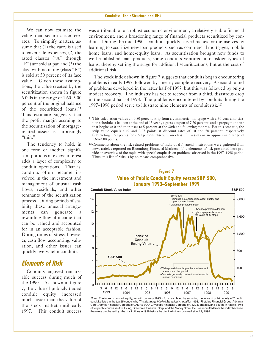#### **Conduits: Their Structure and Risk**

We can now estimate the value that securitization creates. To simplify matters, assume that  $(1)$  the carry is used to cover sale expenses, (2) the rated classes ("A" through "E") are sold at par, and (3) the class with no rating (class "F") is sold at 50 percent of its face value. Given these assumptions, the value created by the securitization shown in figure 6 falls in the range of 1.60-3.00 percent of the original balance of the securitized loans.11 This estimate suggests that the profit margin accruing to the securitization of mortgagerelated assets is surprisingly "thin."

The tendency to hold, in one form or another, significant portions of excess interest adds a layer of complexity to conduit operations. That is, conduits often become involved in the investment and management of unusual cash flows, residuals, and other remnants of the securitization process. During periods of stability these unusual arrangements can generate a rewarding flow of income that can be valued and accounted for in an acceptable fashion. During times of stress, however, cash flow, accounting, valuation, and other issues can quickly overwhelm conduits.

#### **Elements of Risk**

Conduits enjoyed remarkable success during much of the 1990s. As shown in figure 7, the value of publicly traded conduit equity increased much faster than the value of the stock market until early 1997. This conduit success

was attributable to a robust economic environment, a relatively stable financial environment, and a broadening range of financial products securitized by conduits. During the mid-1990s, conduits quickly carved niches for themselves by learning to securitize new loan products, such as commercial mortgages, mobile home loans, and home-equity loans. As securitization brought new funds to well-established loan products, some conduits ventured into riskier types of loans, thereby setting the stage for additional securitizations, but at the cost of additional risk.

The stock index shown in figure 7 suggests that conduits began encountering problems in early 1997, followed by a nearly complete recovery. A second round of problems developed in the latter half of 1997, but this was followed by only a modest recovery. The industry has yet to recover from a third, disastrous drop in the second half of 1998. The problems encountered by conduits during the 1997-1998 period serve to illustrate nine elements of conduit risk.12

#### **Figure 7 Value of Public Conduit Equitr versus S&P 500, Januarr 1993-September 1999**



conduits listed in the top 25 conduits by Th*e Mortgage Market Statistical Annual* for 1998: Firstplus Financial Group, Advanta Note: The index of conduit equity, set with January 1993 = 1, is calculated by summing the value of public equity of 7 public Corp., Aames Financial Corporation,AMRESCO, Cityscape Financial Corporation, IMC Mortgage, and Southern Pacific. Two other public conduits in this listing, Greentree Financial Corp. and the Money Store, Inc., were omitted from the index because they were purchased by other institutions in 1998 before the decline in the stock market in July 1998.

<sup>&</sup>lt;sup>11</sup> This calculation values an 0.80 percent strip from a commercial mortgage with a 30-year amortization schedule, a balloon at the end of 15 years, a gross coupon of 7.70 percent, and a prepayment rate that begins at 0 and then rises to 5 percent at the 30th and following months. For this scenario, the strip value equals 4.49 and 3.07 points at discount rates of 10 and 20 percent, respectively. Subtracting 1.50 points for a 50 percent discount on class "F" results in an approximate range of 1.60-3.00 points.

<sup>&</sup>lt;sup>12</sup> Comments about the risk-related problems of individual financial institutions were gathered from news articles reported on Bloomberg Financial Markets. The elements of risk presented here provide an overview of the topic, with special emphasis on problems observed in the 1997-1998 period. Thus, this list of risks is by no means comprehensive.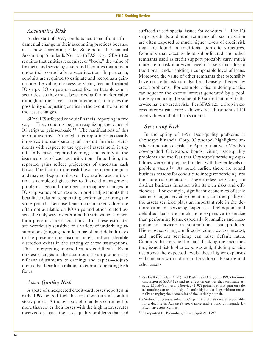#### *Accounting Risk*

At the start of 1997, conduits had to confront a fundamental change in their accounting practices because of a new accounting rule, Statement of Financial Accounting Standards No. 125 (SFAS 125). SFAS 125 requires that entities recognize, or "book," the value of financial and servicing assets and liabilities that remain under their control after a securitization. In particular, conduits are required to estimate and record as a gainon-sale the value of excess servicing fees and related IO strips. IO strips are treated like marketable equity securities, so they must be carried at fair market value throughout their lives-a requirement that implies the possibility of adjusting entries in the event the value of the asset changes.

SFAS 125 affected conduit financial reporting in two ways. First, conduits began recognizing the value of IO strips as gains-on-sale.<sup>13</sup> The ramifications of this are noteworthy. Although this reporting necessarily improves the transparency of conduit financial statements with respect to the types of assets held, it significantly raises reported earnings and equity at the issuance date of each securitization. In addition, the reported gains reflect projections of uncertain cash flows. The fact that the cash flows are often irregular and may not begin until several years after a securitization is completed gives rise to financial management problems. Second, the need to recognize changes in IO strip values often results in profit adjustments that bear little relation to operating performance during the same period. Because benchmark market values are often not available on IO strips and other related assets, the only way to determine IO strip value is to perform present-value calculations. But these estimates are notoriously sensitive to a variety of underlying assumptions (ranging from loan payoff and default rates to the present-value discount rate), and considerable discretion exists in the setting of these assumptions. Thus, interpreting reported values is difficult. Even modest changes in the assumptions can produce significant adjustments to earnings and capital-adjustments that bear little relation to current operating cash flows.

#### *Asset-Quality Risk*

A spate of unexpected credit-card losses reported in early 1997 helped fuel the first downturn in conduit stock prices. Although portfolio lenders continued to more than cover their losses with the high interest rates received on loans, the asset-quality problems that had

surfaced raised special issues for conduits.<sup>14</sup> The IO strips, residuals, and other remnants of a securitization are often exposed to much higher levels of credit risk than are found in traditional portfolio structures. Conduits that elect to hold subordinated and other remnants used as credit support probably carry much more credit risk in a given level of assets than does a traditional lender holding a comparable level of loans. Moreover, the value of other remnants that ostensibly have no credit risk can also be adversely affected by credit problems. For example, a rise in delinquencies can squeeze the excess interest generated by a pool, thereby reducing the value of IO strips that might otherwise have no credit risk. Per SFAS 125, a drop in excess interest can force a downward adjustment of IO asset values and of a firm's capital.

#### *Servicing Risk*

In the spring of 1997 asset-quality problems at Cityscape Financial Corp. (Cityscape) highlighted another dimension of risk. In April of that year Moody's downgraded Cityscape's bonds, citing asset-quality problems and the fear that Cityscape's servicing capabilities were not prepared to deal with higher levels of problem assets.15 As noted earlier, there are sound business reasons for conduits to integrate servicing into their internal operations. Nevertheless, servicing is a distinct business function with its own risks and efficiencies. For example, significant economies of scale accrue to larger servicing operations, and the quality of the assets serviced plays an important role in the determination of servicing expenses. Delinquent and defaulted loans are much more expensive to service than performing loans, especially for smaller and inexperienced servicers in nontraditional loan products. High-cost servicing can directly reduce excess interest, and inefficient servicing can raise default rates. Conduits that service the loans backing the securities they issued risk higher expenses and, if delinquencies rise above the expected levels, these higher expenses will coincide with a drop in the value of IO strips and other assets.

15 As reported by Bloomberg News, April 21, 1997.

<sup>13</sup> *See* Duff & Phelps (1997) and Baskin and Gregoire (1997) for more discussion of SFAS 125 and its effect on entities that securitize assets. Moody's Investors Service (1997) points out that gain-on-sale accounting can result in significantly higher earnings without materially changing the economics of the underlying risk.

<sup>&</sup>lt;sup>14</sup> Credit-card losses at Advanta Corp. in March 1997 were responsible for a decline in Advanta's stock price and a bond downgrade by Fitch Investors Service.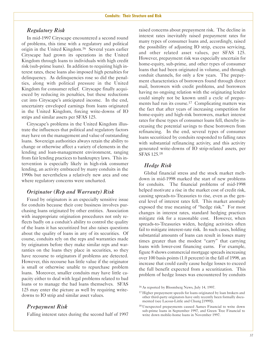#### *Regulatory Risk*

In mid-1997 Cityscape encountered a second round of problems, this time with a regulatory and political origin in the United Kingdom.16 Several years earlier Cityscape had grown its operations in the United Kingdom through loans to individuals with high credit risk (sub-prime loans). In addition to requiring high interest rates, these loans also imposed high penalties for delinquency. As delinquencies rose so did the penalties, along with political pressure in the United Kingdom for consumer relief. Cityscape finally acquiesced by reducing its penalties, but these reductions cut into Cityscape's anticipated income. In the end, uncertainty enveloped earnings from loans originated in the United Kingdom, forcing write-downs of IO strips and similar assets per SFAS 125.

Cityscape's problems in the United Kingdom illustrate the influences that political and regulatory factors may have on the management and value of outstanding loans. Sovereign authorities always retain the ability to change or otherwise affect a variety of elements in the lending and loan-management environment, ranging from fair lending practices to bankruptcy laws. This intervention is especially likely in high-risk consumer lending, an activity embraced by many conduits in the 1990s but nevertheless a relatively new area and one where regulatory concerns were uncharted.

#### *Originator (Rep and Warranty) Risk*

Fraud by originators is an especially sensitive issue for conduits because their core business involves purchasing loans originated by other entities. Association with inappropriate origination procedures not only reflects badly on a conduit's ability to control the quality of the loans it has securitized but also raises questions about the quality of loans in any of its securities. Of course, conduits rely on the reps and warranties made by originators before they make similar reps and warranties on the loans they place in securities, so they have recourse to originators if problems are detected. However, this recourse has little value if the originator is small or otherwise unable to repurchase problem loans. Moreover, smaller conduits may have little capacity either to deal with legal problems related to bad loans or to manage the bad loans themselves. SFAS 125 may enter the picture as well by requiring writedowns to IO strip and similar asset values.

#### *Prepayment Risk*

Falling interest rates during the second half of 1997

raised concerns about prepayment risk. The decline in interest rates inevitably raised prepayment rates for many types of consumer loans and, accordingly, raised the possibility of adjusting IO strip, excess servicing, and other related asset values, per SFAS 125. However, prepayment risk was especially uncertain for home-equity, sub-prime, and other types of consumer loans that had been originated in volume, and through conduit channels, for only a few years. The prepayment characteristics of borrowers found through direct mail, borrowers with credit problems, and borrowers having no ongoing relation with the originating lender could simply not be known until a cycle of prepayments had run its course.<sup>17</sup> Complicating matters was the fact that after years of increasing competition for home-equity and high-risk borrowers, market interest rates for these types of consumer loans fell, thereby increasing the potential savings to these borrowers from refinancing. In the end, several types of consumer loans securitized by conduits responded to falling rates with substantial refinancing activity, and this activity generated write-downs of IO strip-related assets, per SFAS 125.18

#### *Hedge Risk*

Global financial stress and the stock market meltdown in mid-1998 marked the start of new problems for conduits. The financial problems of mid-1998 helped motivate a rise in the market cost of credit risk, causing spreads-to-Treasuries to rise, even as the general level of interest rates fell. This market anomaly exposed the true meaning of "hedge risk." For most changes in interest rates, standard hedging practices mitigate risk for a reasonable cost. However, when spreads-to-Treasuries widen, hedging activities often fail to mitigate interest-rate risk. In such cases, holding substantial amounts of loans can result in losses many times greater than the modest "carry" that carrying loans with lower-cost financing earns. For example, figure 8 shows commercial mortgage spreads increasing over 100 basis points (1.0 percent) in the fall of 1998, an increase that could easily cause hedge losses to exceed the full benefit expected from a securitization. This problem of hedge losses was encountered by conduits

<sup>16</sup> As reported by Bloomberg News, July 14, 1997.

<sup>&</sup>lt;sup>17</sup> Higher prepayment speeds for loans originated by loan brokers and other third-party originators have only recently been formally documented (see Lacour-Little and Chung [1999]).

<sup>18</sup> Unexpected prepayments caused Aames Financial to write down sub-prime loans in September 1997, and Green Tree Financial to write down mobile-home loans in November 1997.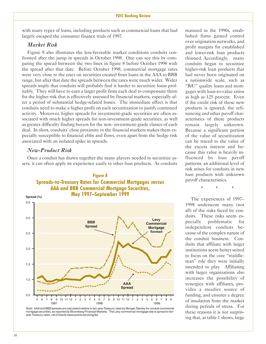with many types of loans, including products such as commercial loans that had largely escaped the consumer finance trials of 1997.

#### *�arket Risk*

Figure 8 also illustrates the less-favorable market conditions conduits confronted after the jump in spreads in October 1998. One can see this by comparing the spread between the two lines in figure 8 before October 1998 with the spread after that date. Before October 1998, commercial mortgage rates were very close to the rates on securities created from loans in the AAA to BBB range, but after that date the spreads between the rates were much wider. Wider spreads imply that conduits will probably find it harder to securitize loans profitably. They will have to earn a larger profit from each deal to compensate them for the higher risk that is effectively assessed by financial markets, especially after a period of substantial hedge-related losses. The immediate effect is that conduits need to make a higher profit on each securitization to justify continued activity. Moreover, higher spreads for investment-grade securities are often associated with much higher spreads for non-investment-grade securities, as well as greater difficulty finding buyers for the non-investment-grade classes of each deal. In short, conduits' close proximity to the financial markets makes them especially susceptible to financial ebbs and flows, even apart from the hedge risk associated with an isolated spike in spreads.

#### *�e�-Product Risk*

Once a conduit has drawn together the many players needed to securitize assets, it can often apply its experience easily to other loan products. As conduits



 Note: AAAand BBB spreads are calculated relative to ten-year Treasury rates by Morgan Stanley for conduit commercial mortgage securities, as reported by Bloomberg Financial Markets. The Levy commercial mortgage rate is spread to tenyear Treasury rates, net of twenty basis points servicing fee.

matured in the 1990s, established firms gained control over origination networks, and profit margins for established and lower-risk loan products thinned. Accordingly, many conduits began to securitize higher-risk loan products that had never been originated on a nationwide scale, such as "B/C" quality loans and mortgages with loan-to-value ratios as high as 125 percent. Even if the credit risk of these new products is ignored, the refinancing and other payoff characteristics of these products remain largely unknown. Because a significant portion of the value of securitization can be traced to the value of the excess interest and because this value is heavily influenced by loan payoff patterns, an additional level of risk arises for conduits in new loan products with unknown payoff characteristics.

• • •

The experiences of 1997- 1998 underscore many (not all) of the risks faced by conduits. These risks seem especially problematic for independent conduits because of the complex nature of the conduit business. Conduits that affiliate with larger institutions seem better suited to focus on the core "middleman" role they were initially intended to play. Affiliating with larger organizations also increases the possibility of synergies with affiliates, provides a steadier source of funding, and ensures a degree of insulation from the market during periods of stress. For these reasons it is not surprising that, as table 1 shows, large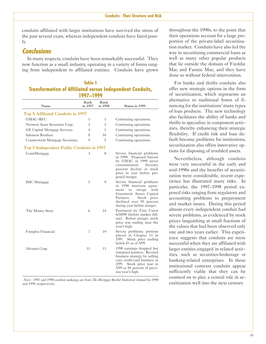conduits affiliated with larger institutions have survived the stress of the past several years, whereas independent conduits have fared poorly.

#### **Conclusions**

In many respects, conduits have been remarkably successful. They now function as a small industry, operating in a variety of forms ranging from independent to affiliated entities. Conduits have grown

#### **Table 1 Transformation of Affiliated versus Independent Conduits, 1997-1999**

| Name                                      | Rank<br>in 1997 | Rank<br>in 1998 | Status in 1999                                                                                                                                                                                              |
|-------------------------------------------|-----------------|-----------------|-------------------------------------------------------------------------------------------------------------------------------------------------------------------------------------------------------------|
| Top 5 Affiliated Conduits in 1997         |                 |                 |                                                                                                                                                                                                             |
| <b>GMAC-RFC</b>                           | 1               | 1               | Continuing operations.                                                                                                                                                                                      |
| Norwest Asset Securities Corp.            | $\overline{c}$  | $\overline{c}$  | Continuing operations.                                                                                                                                                                                      |
| GE Capital Mortgage Services              | 4               | 3               | Continuing operations.                                                                                                                                                                                      |
| Salomon Brothers                          | 8               | 10              | Continuing operations.                                                                                                                                                                                      |
| Countrywide Mortgage Securities           | 9               | 5               | Continuing operations.                                                                                                                                                                                      |
| Top 5 Independent Public Conduits in 1997 |                 |                 |                                                                                                                                                                                                             |
| ContiMortgage                             | 3               | 8               | Severe financial problems<br>in 1998. Proposed buyout<br>by GMAC in 1999 never<br>consummated.<br>Seventy<br>percent decline in stock<br>price in year before pro-<br>posed merger.                         |
| <b>IMC</b> Mortgage                       | 5               | 9               | Severe financial problems<br>in 1998 motivate agree-<br>with<br>ment<br>merge<br>to<br>Greenwich Street Capital<br>price<br>Partners.<br>Stock<br>declined over 95 percent<br>during year before merger.    |
| The Money Store                           | 6               | 14              | Purchased by First Union<br>6/30/98 (before market fall-<br>out). Before merger, stock<br>price was trading near the<br>year's high.                                                                        |
| Firstplus Financial                       | 7               | 19              | Severe problems; portions<br>placed in Chapter 11 in<br>3/99. Stock price trading<br>below $$1$ as of $5/99$ .                                                                                              |
| Advanta Corp.                             | 11              | 13              | 1998 earnings dropped but<br>remained positive. Revised<br>business strategy by selling<br>core credit-card business in<br>Stock price rose in<br>2/99.<br>5/99 to 50 percent of previ-<br>ous year's high. |

*Note:* 1997 and 1998 conduit rankings are from *The Mortgage Market Statistical Annual* for 1998 and 1999, respectively.

throughout the 1990s, to the point that their operations account for a large proportion of the private-label securitization market. Conduits have also led the way in securitizing commercial loans as well as many other popular products that lie outside the domain of Freddie Mac and Fannie Mae, and they have done so without federal intervention.

For banks and thrifts conduits also offer new strategic options in the form of securitization, which represents an alternative to traditional forms of financing for the institutions' many types of loan products. The new technology also facilitates the ability of banks and thrifts to specialize in component activities, thereby enhancing their strategic flexibility. If credit risk and loan default become problems for institutions, securitization also offers innovative options for disposing of troubled assets.

Nevertheless, although conduits were very successful in the early and mid-1990s and the benefits of securitization were considerable, recent experience has illustrated many risks. In particular, the 1997-1998 period exposed risks ranging from regulatory and accounting problems to prepayment and market issues. During this period almost every independent conduit had severe problems, as evidenced by stock prices languishing at small fractions of the values that had been observed only one and two years earlier. This experience suggests that conduits are more successful when they are affiliated with larger entities engaged in related activities, such as securities-brokerage or banking-related enterprises. In these institutional contexts conduits appear sufficiently viable that they can be counted on to play a central role in securitization well into the next century.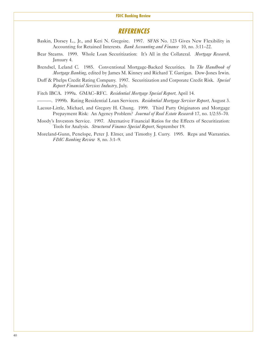#### **FDIC Banking Review**

#### **REFERENCES**

- Baskin, Dorsey L., Jr., and Keri N. Gregoire. 1997. SFAS No. 123 Gives New Flexibility in Accounting for Retained Interests. *Bank Accounting and Finance* 10, no. 3:11-22.
- Bear Stearns. 1999. Whole Loan Securitization: It's All in the Collateral. *Mortgage Research,* January 4.
- Brendsel, Leland C. 1985. Conventional Mortgage-Backed Securities. In *The Handbook of Mortgage Banking*, edited by James M. Kinney and Richard T. Garrigan. Dow-Jones Irwin.
- Duff & Phelps Credit Rating Company. 1997. Securitization and Corporate Credit Risk. *Special Report Financial Services Industry,* July.

Fitch IBCA. 1999a. GMAC-RFC. *Residential Mortgage Special Report,* April 14.

- ---. 1999b. Rating Residential Loan Servicers. *Residential Mortgage Servicer Report,* August 3.
- Lacour-Little, Michael, and Gregory H. Chung. 1999. Third Party Originators and Mortgage Prepayment Risk: An Agency Problem? *Journal of Real Estate Research* 17, no. 1/2:55-70.
- Moody's Investors Service. 1997. Alternative Financial Ratios for the Effects of Securitization: Tools for Analysis. *Structured Finance Special Report,* September 19.
- Moreland-Gunn, Penelope, Peter J. Elmer, and Timothy J. Curry. 1995. Reps and Warranties. *FDIC Banking Review* 8, no. 3:1-9.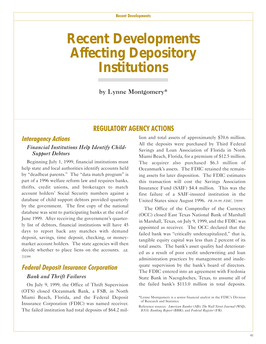## <span id="page-42-0"></span>**Recent Developments Affecting Depository Institutions**

by Lynne Montgomery\*

## **REGULATORY AGENCY ACTIONS**

help state and local authorities identify accounts held Oceanmark's assets. The FDIC retained the remainby "deadbeat parents." The "data match program" is ing assets for later disposition. The FDIC estimates part of a 1996 welfare reform law and requires banks, this transaction will cost the Savings Association thrifts, credit unions, and brokerages to match<br>account holders' Social Security numbers against a first failure of a SAIF-insured institution in the database of child support debtors provided quarterly United States since August 1996. *PR-39-99, FDIC, 7/9/99.* by the government. The first copy of the national<br>database was sent to participating banks at the end of<br>June 1999. After receiving the government's quarter-<br>ly list of debtors, financial institutions will have 45<br>days to

(OTS) closed Oceanmark Bank, a FSB, in North Miami Beach, Florida, and the Federal Deposit \*Lynne Montgomery is a senior financial analyst in the FDIC's Division<br>
I contract the CHOLO: CHOLO: Limitation of Research and Statistics. Insurance Corporation (FDIC) was named receiver.<br>Reference sources: *American Banker* (AB); *The Wall Street Journal* (WSJ); The failed institution had total deposits of \$64.2 mil-<br>*BNA's Banking Report* (BBR); and *Federal Register* (FR).

Interagency Actions<br>
Financial Institutions Help Identify Child-<br>
Support Debtors<br>
Support Debtors<br>
Support Debtors<br>
Support Debtors<br>
Support Debtors<br>
Support Debtors<br>
Miami Beach, Florida, for a premium of \$12.5 million. Beginning July 1, 1999, financial institutions must The acquirer also purchased \$6.3 million of first failure of a SAIF-insured institution in the

*7/1/99.* administration practices by management and inade-**Federal Deposit Insurance Corporation** quate supervision by the bank's board of directors.<br> **For FDIC** entered into an agreement with Fredonia<br>
State Bank in Nacogdoches Texas, to assume all of *Bank in Nacogdoches, Texas, to assume all of* On July 9, 1999, the Office of Thrift Supervision the failed bank's \$113.0 million in total deposits.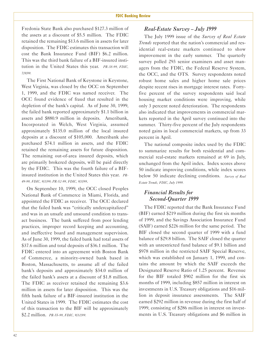Fredonia State Bank also purchased \$127.3 million of the assets at a discount of \$5.5 million. The FDIC retained the remaining \$13.6 million in assets for later disposition. The FDIC estimates this transaction will cost the Bank Insurance Fund (BIF) \$6.2 million. This was the third bank failure of a BIF-insured institution in the United States this year. *PR-38-99, FDIC, 7/9/99.*

 insured institution in the United States this year. *PR-*The First National Bank of Keystone in Keystone, West Virginia, was closed by the OCC on September 1, 1999, and the FDIC was named receiver. The OCC found evidence of fraud that resulted in the depletion of the bank's capital. As of June 30, 1999, the failed bank reported approximately \$1.1 billion in assets and \$880.9 million in deposits. Ameribank, Incorporated in Welch, West Virginia, assumed approximately \$135.0 million of the local insured deposits at a discount of \$105,000. Ameribank also purchased \$74.1 million in assets, and the FDIC retained the remaining assets for future disposition. The remaining out-of-area insured deposits, which are primarily brokered deposits, will be paid directly by the FDIC. This was the fourth failure of a BIF-*49-99, FDIC, 9/1/99; PR-52-99, FDIC, 9/3/99.*

On September 10, 1999, the OCC closed Peoples National Bank of Commerce in Miami, Florida, and appointed the FDIC as receiver. The OCC declared that the failed bank was "critically undercapitalized" and was in an unsafe and unsound condition to transact business. The bank suffered from poor lending practices, improper record keeping and accounting, and ineffective board and management supervision. As of June 30, 1999, the failed bank had total assets of \$37.6 million and total deposits of \$36.1 million. The FDIC entered into an agreement with Boston Bank of Commerce, a minority-owned bank based in Boston, Massachusetts, to assume all of the failed bank's deposits and approximately \$34.0 million of the failed bank's assets at a discount of \$1.8 million. The FDIC as receiver retained the remaining \$3.6 million in assets for later disposition. This was the fifth bank failure of a BIF-insured institution in the United States in 1999. The FDIC estimates the cost of this transaction to the BIF will be approximately \$2.2 million. *PR-55-99, FDIC, 9/10/99.*

#### *RealEstate Survey - July 1999*

The July 1999 issue of the *Survey of Real Estate Trends* reported that the nation's commercial and residential real-estate markets continued to show improvement in the early summer. The quarterly survey polled 293 senior examiners and asset managers from the FDIC, the Federal Reserve System, the OCC, and the OTS. Survey respondents noted robust home sales and higher home sale prices despite recent rises in mortgage interest rates. Fortyfive percent of the survey respondents said local housing market conditions were improving, while only 3 percent noted deterioration. The respondents also indicated that improvements in commercial markets reported in the April survey continued into the summer. Thirty-five percent of the July respondents noted gains in local commercial markets, up from 33 percent in April.

The national composite index used by the FDIC to summarize results for both residential and commercial real-estate markets remained at 69 in July, unchanged from the April index. Index scores above 50 indicate improving conditions, while index scores below 50 indicate declining conditions. *Survey of Real Estate Trends, FDIC, July 1999.*

#### *Financial Results for*  Second-Ouarter 1999

The FDIC reported that the Bank Insurance Fund (BIF) earned \$219 million during the first six months of 1999, and the Savings Association Insurance Fund (SAIF) earned \$226 million for the same period. The BIF closed the second quarter of 1999 with a fund balance of \$29.8 billion. The SAIF closed the quarter with an unrestricted fund balance of \$9.1 billion and \$978 million in the restricted SAIF Special Reserve, which was established on January 1, 1999, and contains the amount by which the SAIF exceeds the Designated Reserve Ratio of 1.25 percent. Revenue for the BIF totaled \$902 million for the first six months of 1999, including \$857 million in interest on investments in U.S. Treasury obligations and \$16 million in deposit insurance assessments. The SAIF earned \$292 million in revenue during the first half of 1999, consisting of \$286 million in interest on investments in U.S. Treasury obligations and \$6 million in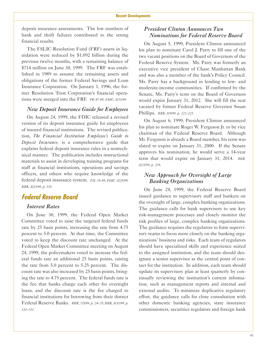deposit insurance assessments. The low numbers of bank and thrift failures contributed to the strong financial results.

The FSLIC Resolution Fund (FRF) assets in liquidation were reduced by \$1.092 billion during the previous twelve months, with a remaining balance of \$714 million on June 30, 1999. The FRF was established in 1989 to assume the remaining assets and obligations of the former Federal Savings and Loan Insurance Corporation. On January 1, 1996, the former Resolution Trust Corporation's financial operations were merged into the FRF. *PR-47-99, FDIC, 8/31/99.*

#### *New Deposit Insurance Guide for Employees*

On August 24, 1999, the FDIC released a revised version of its deposit insurance guide for employees of insured financial institutions. The revised publication, *The Financial Institution Employee's Guide to Deposit Insurance,* is a comprehensive guide that explains federal deposit insurance rules in a nontechnical manner. The publication includes instructional materials to assist in developing training programs for staff at financial institutions, operations and savings officers, and others who require knowledge of the federal deposit insurance system. *FIL-76-99, FDIC, 8/25/99; BBR, 8/30/99, p. 335.*

## **Federal Reserve Board**

#### *Interest Rates*

On June 30, 1999, the Federal Open Market Committee voted to raise the targeted federal funds rate by 25 basis points, increasing the rate from 4.75 percent to 5.0 percent. At that time, the Committee voted to keep the discount rate unchanged. At the Federal Open Market Committee meeting on August 24, 1999, the policymakers voted to increase the federal funds rate an additional 25 basis points, raising the rate from 5.0 percent to 5.25 percent. The discount rate was also increased by 25 basis points, bringing the rate to 4.75 percent. The federal funds rate is the fee that banks charge each other for overnight loans, and the discount rate is the fee charged to financial institutions for borrowing from their district Federal Reserve Banks. *BBR, 7/5/99, p. 24-25; BBR, 8/30/99, p. 330-331.*

#### *President Clinton Announces Two Nominations for Federal Reserve Board*

On August 5, 1999, President Clinton announced his plan to nominate Carol J. Parry to fill one of the two vacant positions on the Board of Governors of the Federal Reserve System. Ms. Parry was formerly an executive vice president of Chase Manhattan Bank and was also a member of the bank's Policy Council. Ms. Parry has a background in lending to low- and moderate-income communities. If confirmed by the Senate, Ms. Parry's term on the Board of Governors would expire January 31, 2012. She will fill the seat vacated by former Federal Reserve Governor Susan Phillips. *BBR, 8/9/99, p. 222-223.*

On August 6, 1999, President Clinton announced his plan to nominate Roger W. Ferguson Jr. to be vice chairman of the Federal Reserve Board. Although Mr. Ferguson is already a Board member, his term was slated to expire on January 31, 2000. If the Senate approves his nomination, he would serve a 14year term that would expire on January 31, 2014. *BBR, 8/23/99, p. 279.*

#### *New Approach for Oversight of Large Banking Organizations*

On June 24, 1999, the Federal Reserve Board issued guidance to supervisory staff and bankers on the oversight of large, complex banking organizations. The guidance calls for bank supervisors to use key risk-management processes and closely monitor the risk profiles of large, complex banking organizations. The guidance requires the regulators to form supervisory teams to focus more closely on the banking organizations' business and risks. Each team of regulators should have specialized skills and experience suited to the assigned institution, and the team should designate a senior supervisor as the central point of contact for the institution. In addition, each team should update its supervisory plan at least quarterly by continually reviewing the institution's current information, such as management reports and internal and external audits. To minimize duplicative regulatory effort, the guidance calls for close consultation with other domestic banking agencies, state insurance commissioners, securities regulators and foreign bank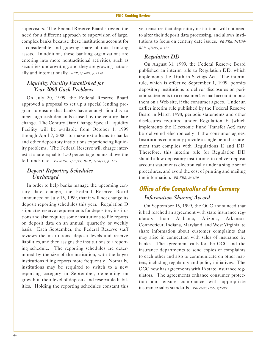#### **FDIC Banking Review**

supervisors. The Federal Reserve Board stressed the need for a different approach to supervision of large, complex banks because these institutions account for a considerable and growing share of total banking assets. In addition, these banking organizations are entering into more nontraditional activities, such as securities underwriting, and they are growing nationally and internationally. *BBR, 6/28/99, p. 1150.*

#### *Liquidity Facility Established for Year 2000 Cash Problems*

On July 20, 1999, the Federal Reserve Board approved a proposal to set up a special lending program to ensure that banks have enough liquidity to meet high cash demands caused by the century date change. The Century Date Change Special Liquidity Facility will be available from October 1, 1999 through April 7, 2000, to make extra loans to banks and other depository institutions experiencing liquidity problems. The Federal Reserve will charge interest at a rate equal to 1.50 percentage points above the fed funds rate. *PR-FRB, 7/20/99; BBR, 7/26/99, p. 125.*

#### *Deposit Reporting Schedules Unchanged*

In order to help banks manage the upcoming century date change, the Federal Reserve Board announced on July 15, 1999, that it will not change its deposit reporting schedules this year. Regulation D stipulates reserve requirements for depository institutions and also requires some institutions to file reports on deposit data on an annual, quarterly, or weekly basis. Each September, the Federal Reserve staff reviews the institutions' deposit levels and reserve liabilities, and then assigns the institutions to a reporting schedule. The reporting schedules are determined by the size of the institution, with the larger institutions filing reports more frequently. Normally, institutions may be required to switch to a new reporting category in September, depending on growth in their level of deposits and reservable liabilities. Holding the reporting schedules constant this

year ensures that depository institutions will not need to alter their deposit data processing, and allows institutions to focus on century date issues. *PR-FRB, 7/15/99; BBR, 7/26/99, p. 127.*

#### *Regulation DD*

On August 31, 1999, the Federal Reserve Board published an interim rule to Regulation DD, which implements the Truth in Savings Act. The interim rule, which is effective September 1, 1999, permits depository institutions to deliver disclosures on periodic statements to a consumer's e-mail account or post them on a Web site, if the consumer agrees. Under an earlier interim rule published by the Federal Reserve Board in March 1998, periodic statements and other disclosures required under Regulation E (which implements the Electronic Fund Transfer Act) may be delivered electronically if the consumer agrees. Institutions commonly provide a single periodic statement that complies with Regulations E and DD. Therefore, this interim rule for Regulation DD should allow depository institutions to deliver deposit account statements electronically under a single set of procedures, and avoid the cost of printing and mailing the information. *PR-FRB, 8/31/99.*

## **Office of the Comptroller of the Currency** *Information-Sharing Accord*

On September 15, 1999, the OCC announced that it had reached an agreement with state insurance regulators from Alabama, Arizona, Arkansas, Connecticut, Indiana, Maryland, and West Virginia, to share information about customer complaints that may arise in connection with sales of insurance by banks. The agreement calls for the OCC and the insurance departments to send copies of complaints to each other and also to communicate on other matters, including regulatory and policy initiatives. The OCC now has agreements with 16 state insurance regulators. The agreements enhance consumer protection and ensure compliance with appropriate insurance sales standards. *PR-99-80, aCC, 9/15/99*.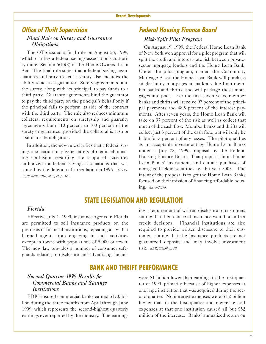## *Final Rule on Surety and Guarantee Risk-Split Pilot Program*

which clarifies a federal savings association's authori-<br>split the credit and interest-rate risk between privatety under Section 5(b)(2) of the Home Owners' Loan sector mortgage lenders and the Home Loan Bank. Act. The final rule states that a federal savings asso-<br>Under the pilot program, named the Community ciation's authority to act as surety also includes the Mortgage Asset, the Home Loan Bank will purchase ability to act as a guarantor. Surety agreements bind single-family mortgages at market value from memthe surety, along with its principal, to pay funds to a ber banks and thrifts, and will package these mortthird party. Guaranty agreements bind the guarantor gages into pools. For the first seven years, member to pay the third party on the principal's behalf only if banks and thrifts will receive 97 percent of the princithe principal fails to perform its side of the contract pal payments and 48.5 percent of the interest paywith the third party. The rule also reduces minimum ments. After seven years, the Home Loan Bank will collateral requirements on suretyship and guaranty take on 97 percent of the risk as well as collect that agreements from 110 percent to 100 percent of the much of the cash flow. Member banks and thrifts will surety or guarantee, provided the collateral is cash or collect just 3 percent of the cash flow, but will only be

ings association may issue letters of credit, eliminat-<br>under a July 28, 1999, proposal by the Federal ing confusion regarding the scope of activities Housing Finance Board. That proposal limits Home authorized for federal savings associations that was Loan Banks' investments and curtails purchases of caused by the deletion of a regulation in 1996. *ors 99*- mortgage-backed securities by the year 2005. The *57, 8/26/99; BBR, 8/30/99, p. 342.* intent of the proposal is to get the Home Loan Banks

## **Office of Thrift Supervision Federal Housing Finance Board**

**Obligations**<br>
On August 19, 1999, the Federal Home Loan Bank The OTS issued a final rule on August 26, 1999, of New York won approval for a pilot program that will a similar safe obligation. liable for 3 percent of any losses. The pilot qualifies In addition, the new rule clarifies that a federal sav-<br>as an acceptable investment by Home Loan Banks focused on their mission of financing affordable housing. *AB, 8/20/99.*

## **STATE LEGISLATION AND REGULATION**

The new law provides a number of consumer safe-<br>risk. *BBR*, 7/5/99, p. 18. guards relating to disclosure and advertising, includ-

*Florida* ing a requirement of written disclosure to customers Effective July 1, 1999, insurance agents in Florida stating that their choice of insurance would not affect are permitted to sell insurance products on the credit decisions. Financial institutions are also premises of financial institutions, repealing a law that required to provide written disclosure to their cusbanned agents from engaging in such activities tomers stating that the insurance products are not except in towns with populations of 5,000 or fewer. guaranteed deposits and may involve investment

## **BANK AND THRIFT PERFORMANCE**

lion during the three months from April through June higher than in the first quarter and merger-related 1999, which represents the second-highest quarterly expenses at that one institution caused all but \$52 earnings ever reported by the industry. The earnings million of the increase. Banks' annualized return on

**Second-Quarter 1999 Results for** were \$1 billion lower than earnings in the first quar-<br> **Commercial Banks and Savings** the state of 1999, primarily because of higher expenses at ter of 1999, primarily because of higher expenses at *Institutions* one large institution that was acquired during the sec-FDIC-insured commercial banks earned \$17.0 bil- ond quarter. Noninterest expenses were \$1.2 billion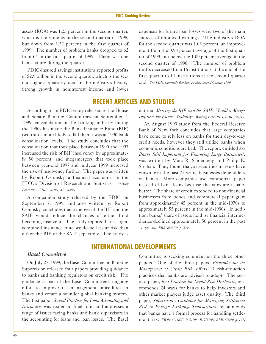ond-highest quarterly total in the industry's history. end. *The FDIC Quarterly Banking Profile, Second Quarter 1999*. Strong growth in noninterest income and lower

assets (ROA) was 1.25 percent in the second quarter, expenses for future loan losses were two of the main which is the same as in the second quarter of 1998, sources of improved earnings. The industry's ROA but down from  $1.32$  percent in the first quarter of for the second quarter was  $1.03$  percent, an improve-1999. The number of problem banks dropped to 62 ment from the 0.98 percent average of the first quarfrom 64 in the first quarter of 1999. There was one ter of 1999, but below the 1.09 percent average in the bank failure during the quarter. Second quarter of 1998. The number of problem FDIC-insured savings institutions reported profits thrifts decreased from 16 institutions at the end of the of \$2.9 billion in the second quarter, which is the sec-<br>first quarter to 14 institutions at the second-quarter

#### **RECENT ARTICLES AND STUDIES**

According to an FDIC study released to the House entitled *Merging the BIF and the SAIF: Would a Merger* and Senate Banking Committees on September 7, *Improve the Funds' Viability*? *Working Paper 99-4, FDIC, 9/7/99*. 1999, consolidation in the banking industry during <br>the 1990s has made the Bank Insurance Fund (BIF) Bank of New York concludes that large companies the 1990s has made the Bank Insurance Fund (BIF) Bank of New York concludes that large companies<br>two-thirds more likely to fail than it was at 1990 bank have come to rely less on banks for their day-to-day two-thirds more likely to fail than it was at 1990 bank have come to rely less on banks for their day-to-day<br>consolidation levels. The study concludes that the credit needs however they still utilize banks when consolidation levels. The study concludes that the credit needs, however they still utilize banks when<br>consolidation that took place between 1990 and 1997 economic conditions are had. The report entitled Are consolidation that took place between 1990 and 1997 economic conditions are bad. The report, entitled *Are*<br>increased the risk of BIF insolvency by approximate-<br>*Ranks Still Important for Financing Large Rusinesses* increased the risk of BIF insolvency by approximate-<br>In the still Important for Financing Large Businesses?,<br>In 50 percent, and megamergers that took place<br>was written by Marc R. Saidenberg and Philip F. between year-end 1997 and midyear 1999 increased Strahan. They found that, as securities markets have the risk of insolvency further. The paper was written grown over the past 25 years, businesses depend less<br>by Robert Oshinsky, a financial economist in the concentral More companies use commercial paper by Robert Oshinsky, a financial economist in the on banks. More companies use commercial paper<br>FDIC's Division of Research and Statistics. Working instead of bank loans because the rates are usually FDIC's Division of Research and Statistics. *Working* instead of bank loans because the rates are usually

September 7, 1999, and also written by Robert from approximately 45 percent in the mid-1970s to Oshinsky, concludes that a merger of the BIF and the approximately 55 percent in the mid-1990s. In addi-SAIF would reduce the chances of either fund tion, banks' share of assets held by financial intermebecoming insolvent. The study reports that a larger, diaries declined approximately 50 percent in the past combined insurance fund would be less at risk than 15 years. *BBR, 8/23/99, p. 279.* either the BIF or the SAIF separately. The study is

was written by Marc R. Saidenberg and Philip E. better. The share of credit extended to non-financial A companion study released by the FDIC on businesses from bonds and commercial paper grew

### **INTERNATIONAL DEVELOPMENTS**

Supervision released four papers providing guidance *Management of Credit Risk*, offers 17 risk-reduction to banks and banking regulators on credit risk. The practices that banks are advised to adopt. The secguidance is part of the Basel Committee's ongoing ond paper, *Best Practices for Credit Risk Disclosure*, receffort to improve risk-management procedures in ommends 24 ways for banks to help investors and banks and create a sounder global banking system. other market players judge asset quality. The third The first paper, *Sound Practices for Loan Accounting and* paper, *Supervisory Guidance for Managing Settlement Disclosure*, was issued in final form and addresses a *Risk in Foreign Exchange Transactions*, recommends range of issues facing banks and bank supervisors in that banks have a formal process for handling settlethe accounting for loans and loan losses. The Basel ment risk. *NR 99-69, aCC, 7/27/99; AB, 7/27/99; BBR, 8/2/99, p. 197*.

*Basel Committee* Committee Committee is seeking comment on the three other On July 27, 1999, the Basel Committee on Banking papers. One of the three papers, *Principles for the*